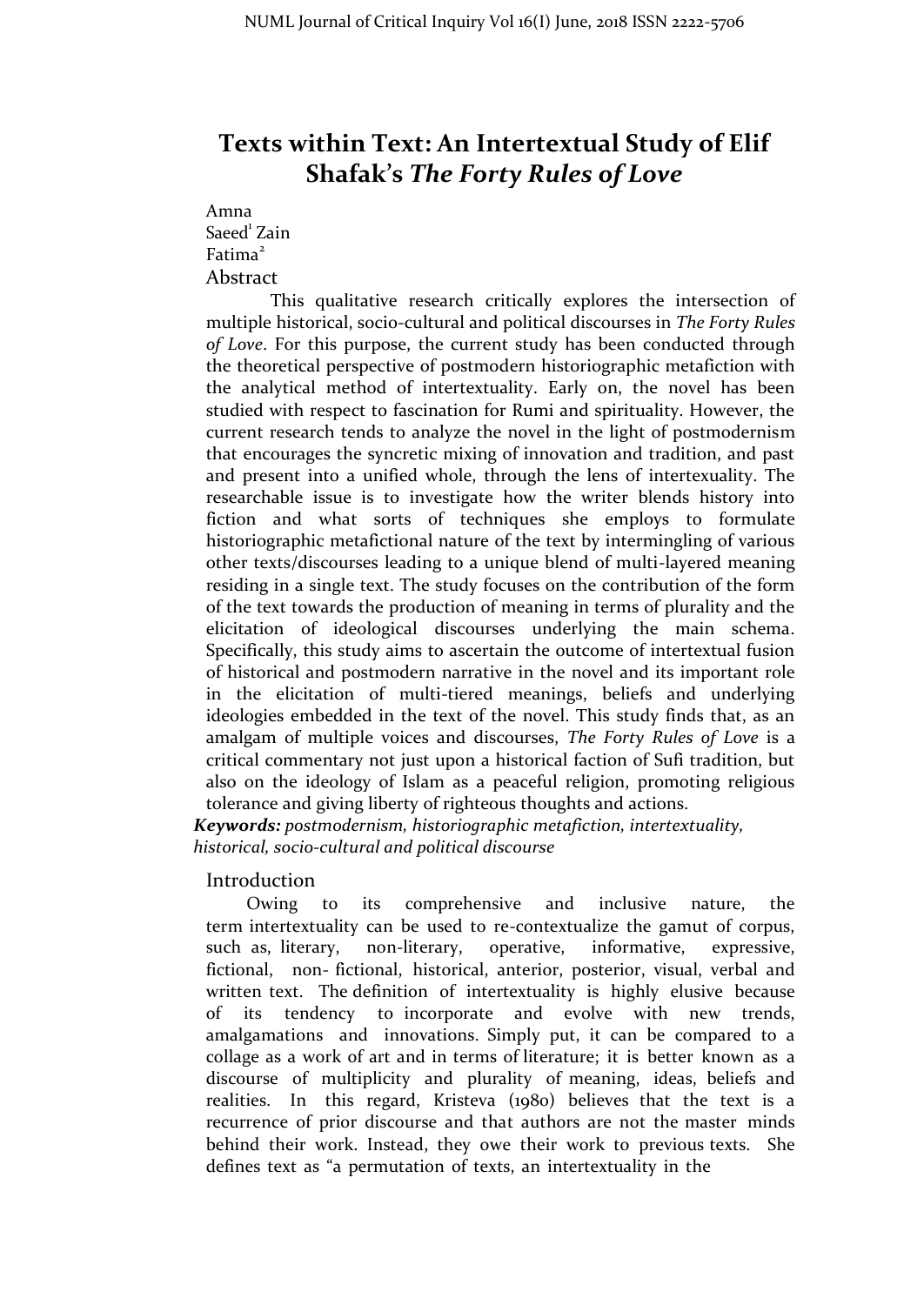# **Texts within Text: An Intertextual Study of Elif Shafak's** *The Forty Rules of Love*

## Amna

Saeed 1 Zain Fatima 2 Abstract

This qualitative research critically explores the intersection of multiple historical, socio-cultural and political discourses in *The Forty Rules of Love*. For this purpose, the current study has been conducted through the theoretical perspective of postmodern historiographic metafiction with the analytical method of intertextuality. Early on, the novel has been studied with respect to fascination for Rumi and spirituality. However, the current research tends to analyze the novel in the light of postmodernism that encourages the syncretic mixing of innovation and tradition, and past and present into a unified whole, through the lens of intertexuality. The researchable issue is to investigate how the writer blends history into fiction and what sorts of techniques she employs to formulate historiographic metafictional nature of the text by intermingling of various other texts/discourses leading to a unique blend of multi-layered meaning residing in a single text. The study focuses on the contribution of the form of the text towards the production of meaning in terms of plurality and the elicitation of ideological discourses underlying the main schema. Specifically, this study aims to ascertain the outcome of intertextual fusion of historical and postmodern narrative in the novel and its important role in the elicitation of multi-tiered meanings, beliefs and underlying ideologies embedded in the text of the novel. This study finds that, as an amalgam of multiple voices and discourses, *The Forty Rules of Love* is a critical commentary not just upon a historical faction of Sufi tradition, but also on the ideology of Islam as a peaceful religion, promoting religious tolerance and giving liberty of righteous thoughts and actions.

*Keywords: postmodernism, historiographic metafiction, intertextuality, historical, socio-cultural and political discourse*

### Introduction

Owing to its comprehensive and inclusive nature, the term intertextuality can be used to re-contextualize the gamut of corpus, such as, literary, non-literary, operative, informative, expressive, fictional, non- fictional, historical, anterior, posterior, visual, verbal and written text. The definition of intertextuality is highly elusive because of its tendency to incorporate and evolve with new trends, amalgamations and innovations. Simply put, it can be compared to a collage as a work of art and in terms of literature; it is better known as a discourse of multiplicity and plurality of meaning, ideas, beliefs and realities. In this regard, Kristeva (1980) believes that the text is a recurrence of prior discourse and that authors are not the master minds behind their work. Instead, they owe their work to previous texts. She defines text as "a permutation of texts, an intertextuality in the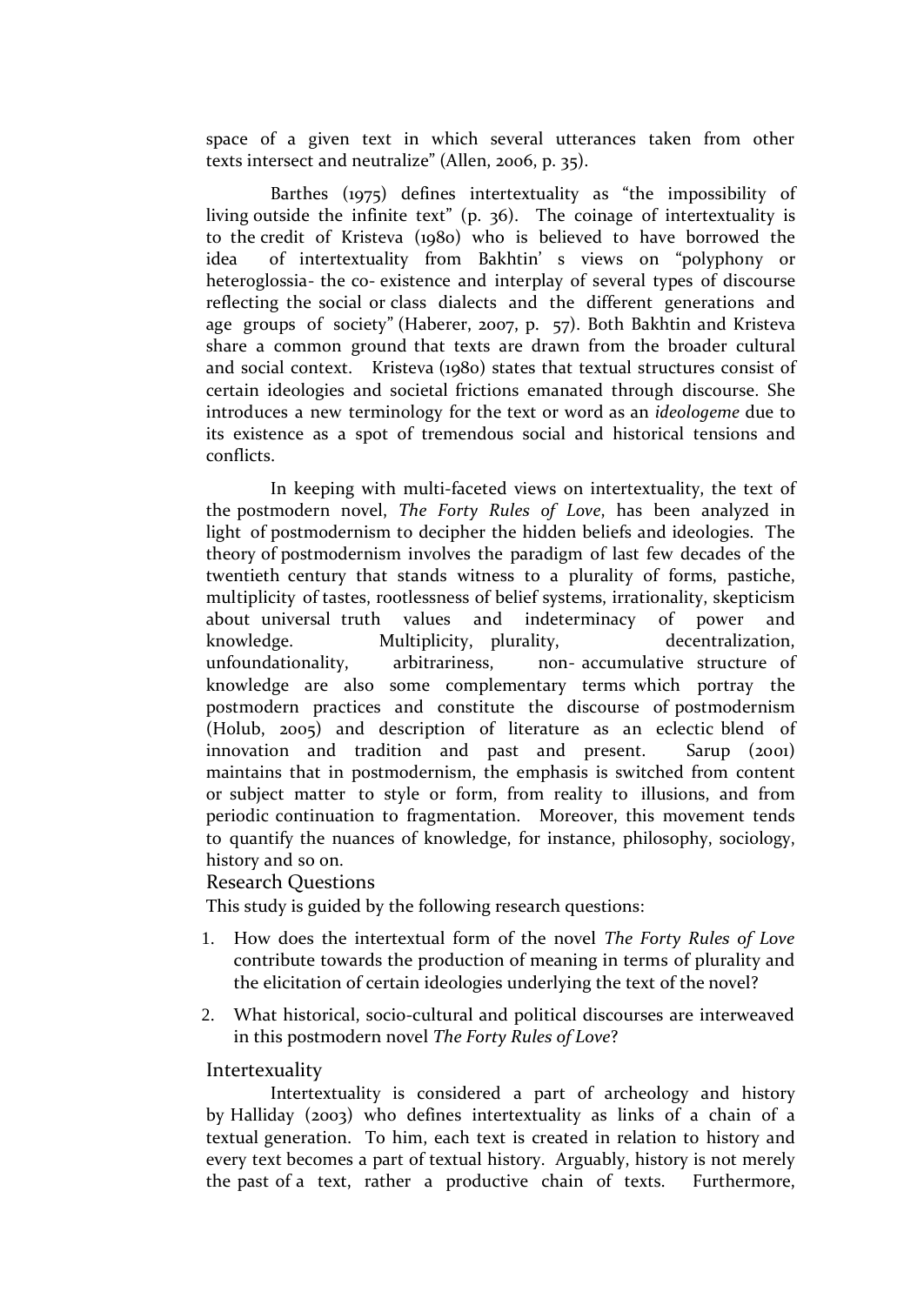space of a given text in which several utterances taken from other texts intersect and neutralize" (Allen, 2006, p. 35).

Barthes (1975) defines intertextuality as "the impossibility of living outside the infinite text" (p. 36). The coinage of intertextuality is to the credit of Kristeva (1980) who is believed to have borrowed the idea of intertextuality from Bakhtin' s views on "polyphony or heteroglossia- the co- existence and interplay of several types of discourse reflecting the social or class dialects and the different generations and age groups of society" (Haberer, 2007, p. 57). Both Bakhtin and Kristeva share a common ground that texts are drawn from the broader cultural and social context. Kristeva (1980) states that textual structures consist of certain ideologies and societal frictions emanated through discourse. She introduces a new terminology for the text or word as an *ideologeme* due to its existence as a spot of tremendous social and historical tensions and conflicts.

In keeping with multi-faceted views on intertextuality, the text of the postmodern novel, *The Forty Rules of Love*, has been analyzed in light of postmodernism to decipher the hidden beliefs and ideologies. The theory of postmodernism involves the paradigm of last few decades of the twentieth century that stands witness to a plurality of forms, pastiche, multiplicity of tastes, rootlessness of belief systems, irrationality, skepticism about universal truth values and indeterminacy of power and knowledge. Multiplicity, plurality, decentralization, unfoundationality, arbitrariness, non- accumulative structure of knowledge are also some complementary terms which portray the postmodern practices and constitute the discourse of postmodernism (Holub, 2005) and description of literature as an eclectic blend of innovation and tradition and past and present. Sarup (2001) maintains that in postmodernism, the emphasis is switched from content or subject matter to style or form, from reality to illusions, and from periodic continuation to fragmentation. Moreover, this movement tends to quantify the nuances of knowledge, for instance, philosophy, sociology, history and so on.

### Research Questions

This study is guided by the following research questions:

- 1. How does the intertextual form of the novel *The Forty Rules of Love*  contribute towards the production of meaning in terms of plurality and the elicitation of certain ideologies underlying the text of the novel?
- 2. What historical, socio-cultural and political discourses are interweaved in this postmodern novel *The Forty Rules of Love*?

### Intertexuality

Intertextuality is considered a part of archeology and history by Halliday (2003) who defines intertextuality as links of a chain of a textual generation. To him, each text is created in relation to history and every text becomes a part of textual history. Arguably, history is not merely the past of a text, rather a productive chain of texts. Furthermore,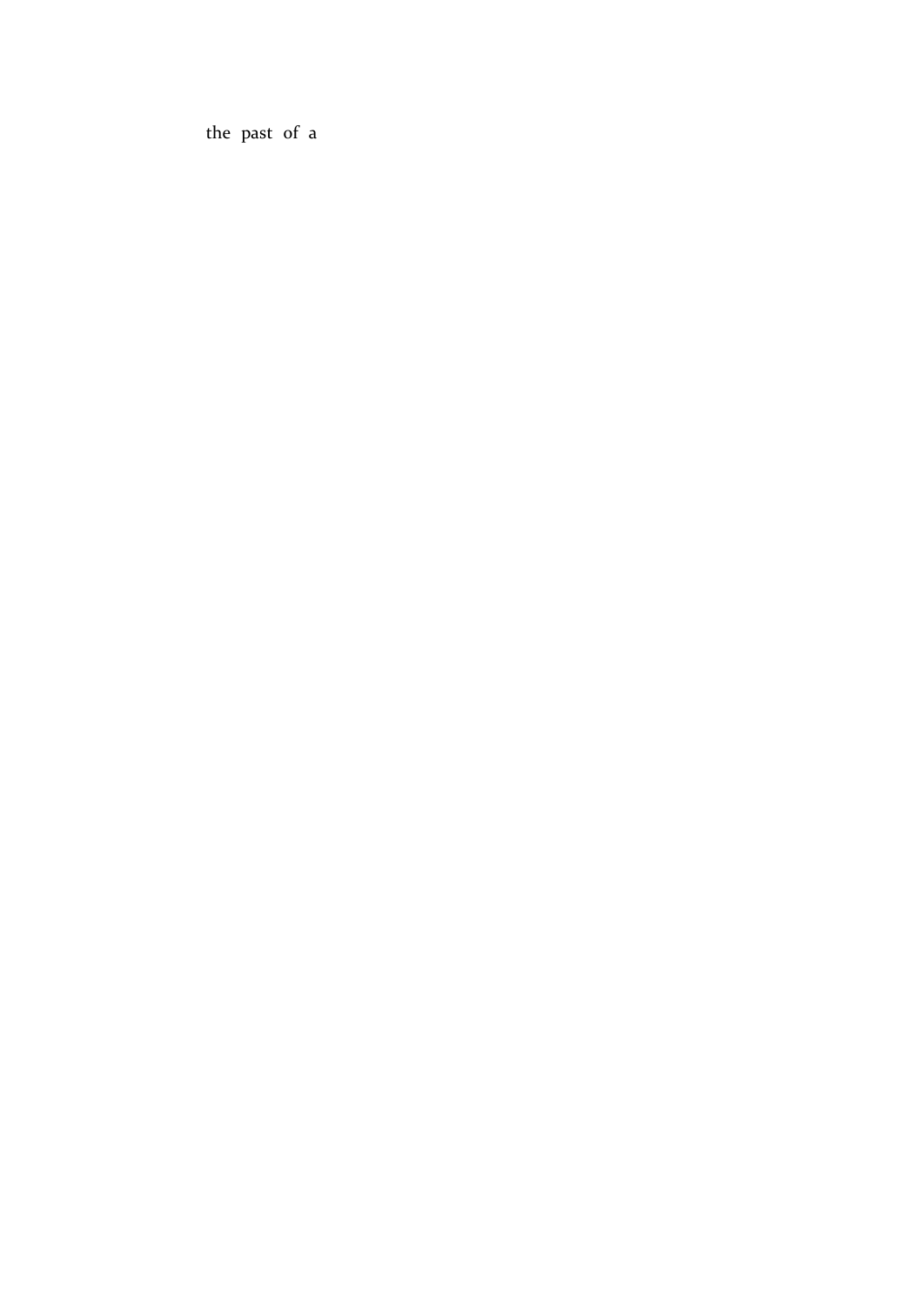the past of a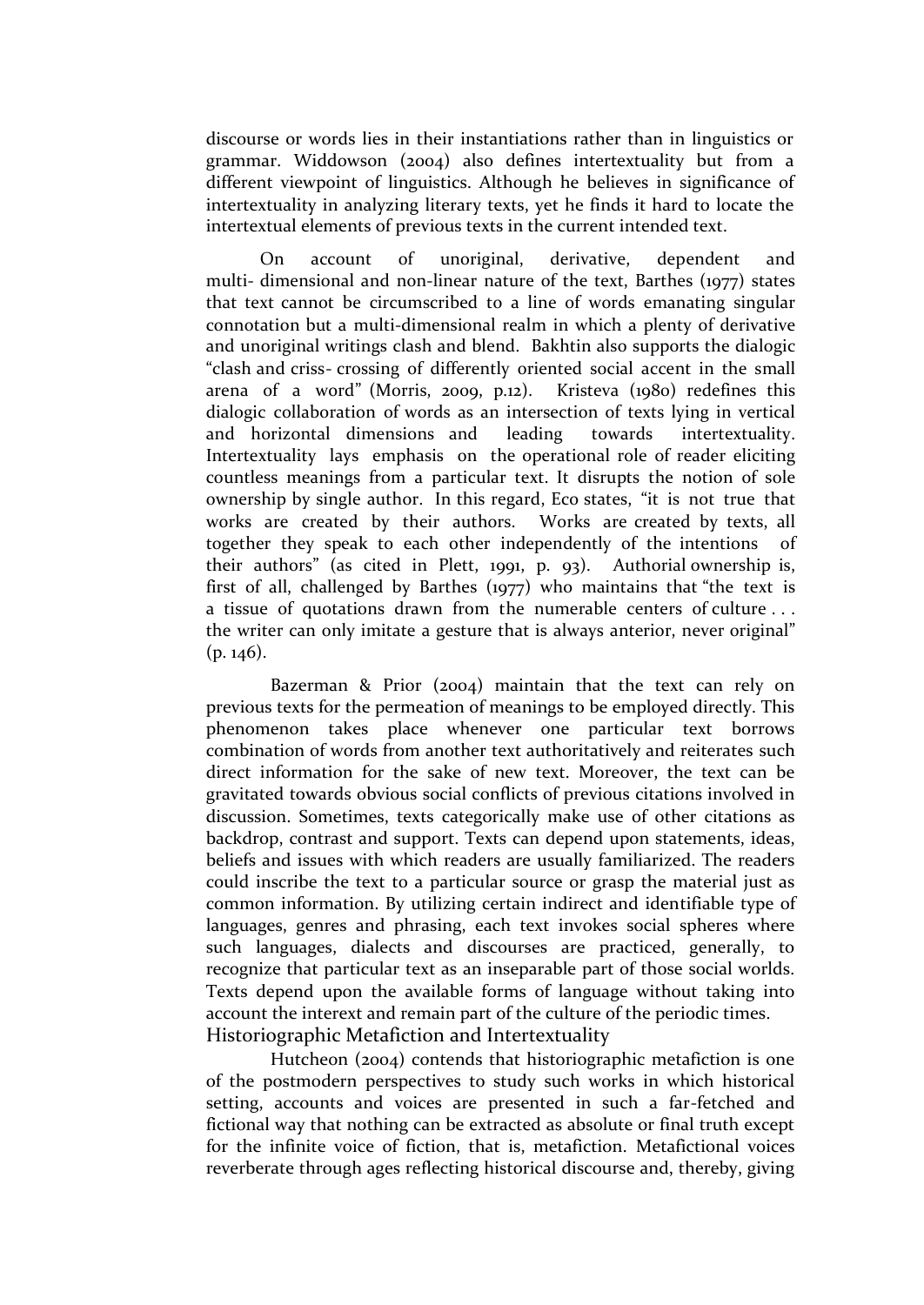discourse or words lies in their instantiations rather than in linguistics or grammar. Widdowson (2004) also defines intertextuality but from a different viewpoint of linguistics. Although he believes in significance of intertextuality in analyzing literary texts, yet he finds it hard to locate the intertextual elements of previous texts in the current intended text.

On account of unoriginal, derivative, dependent and multi- dimensional and non-linear nature of the text, Barthes (1977) states that text cannot be circumscribed to a line of words emanating singular connotation but a multi-dimensional realm in which a plenty of derivative and unoriginal writings clash and blend. Bakhtin also supports the dialogic "clash and criss- crossing of differently oriented social accent in the small arena of a word" (Morris, 2009, p.12). Kristeva (1980) redefines this dialogic collaboration of words as an intersection of texts lying in vertical and horizontal dimensions and leading towards intertextuality. Intertextuality lays emphasis on the operational role of reader eliciting countless meanings from a particular text. It disrupts the notion of sole ownership by single author. In this regard, Eco states, "it is not true that works are created by their authors. Works are created by texts, all together they speak to each other independently of the intentions of their authors" (as cited in Plett, 1991, p. 93). Authorial ownership is, first of all, challenged by Barthes (1977) who maintains that "the text is a tissue of quotations drawn from the numerable centers of culture . . . the writer can only imitate a gesture that is always anterior, never original"  $(p. 146)$ .

Bazerman & Prior (2004) maintain that the text can rely on previous texts for the permeation of meanings to be employed directly. This phenomenon takes place whenever one particular text borrows combination of words from another text authoritatively and reiterates such direct information for the sake of new text. Moreover, the text can be gravitated towards obvious social conflicts of previous citations involved in discussion. Sometimes, texts categorically make use of other citations as backdrop, contrast and support. Texts can depend upon statements, ideas, beliefs and issues with which readers are usually familiarized. The readers could inscribe the text to a particular source or grasp the material just as common information. By utilizing certain indirect and identifiable type of languages, genres and phrasing, each text invokes social spheres where such languages, dialects and discourses are practiced, generally, to recognize that particular text as an inseparable part of those social worlds. Texts depend upon the available forms of language without taking into account the interext and remain part of the culture of the periodic times. Historiographic Metafiction and Intertextuality

Hutcheon (2004) contends that historiographic metafiction is one of the postmodern perspectives to study such works in which historical setting, accounts and voices are presented in such a far-fetched and fictional way that nothing can be extracted as absolute or final truth except for the infinite voice of fiction, that is, metafiction. Metafictional voices reverberate through ages reflecting historical discourse and, thereby, giving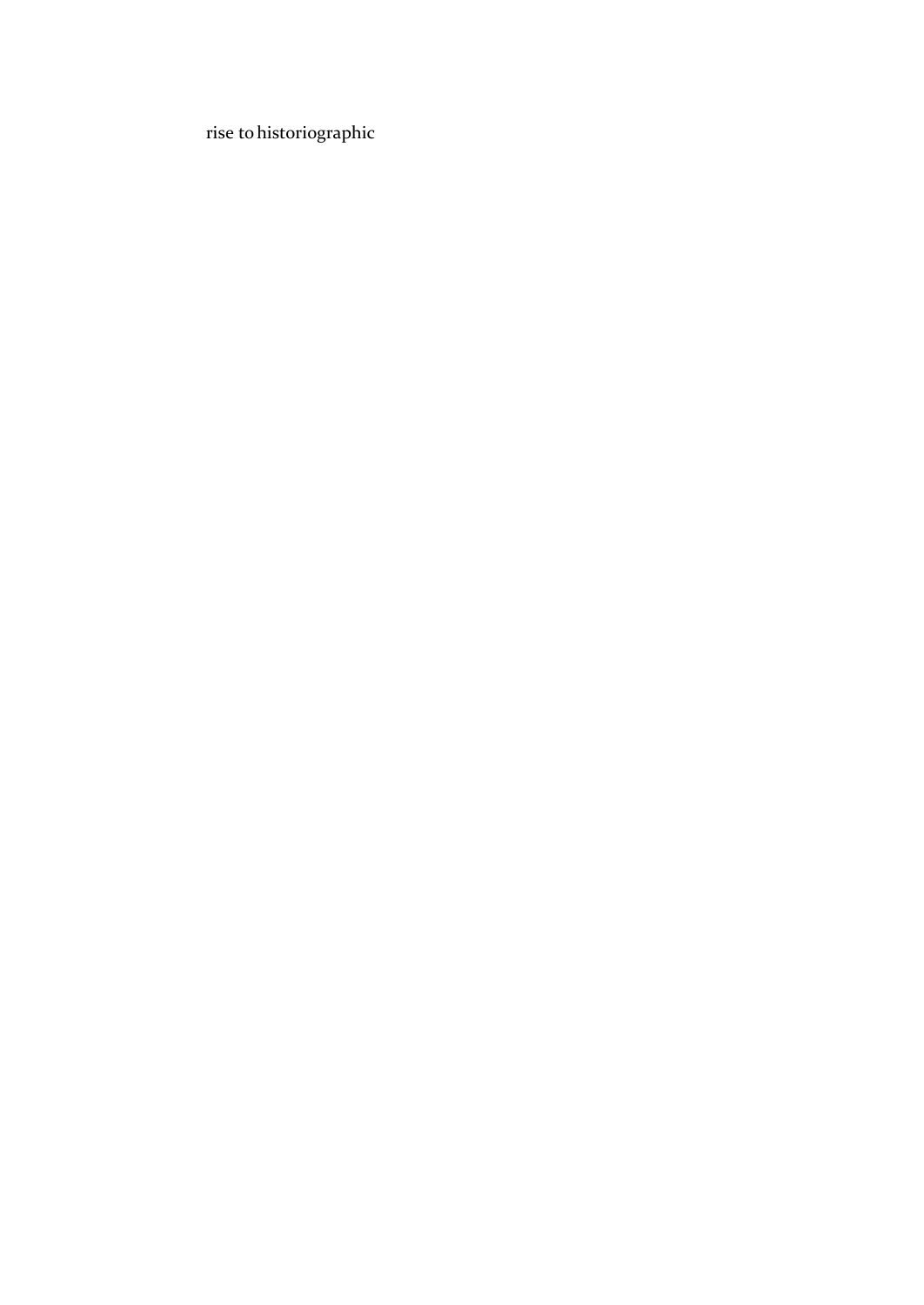rise tohistoriographic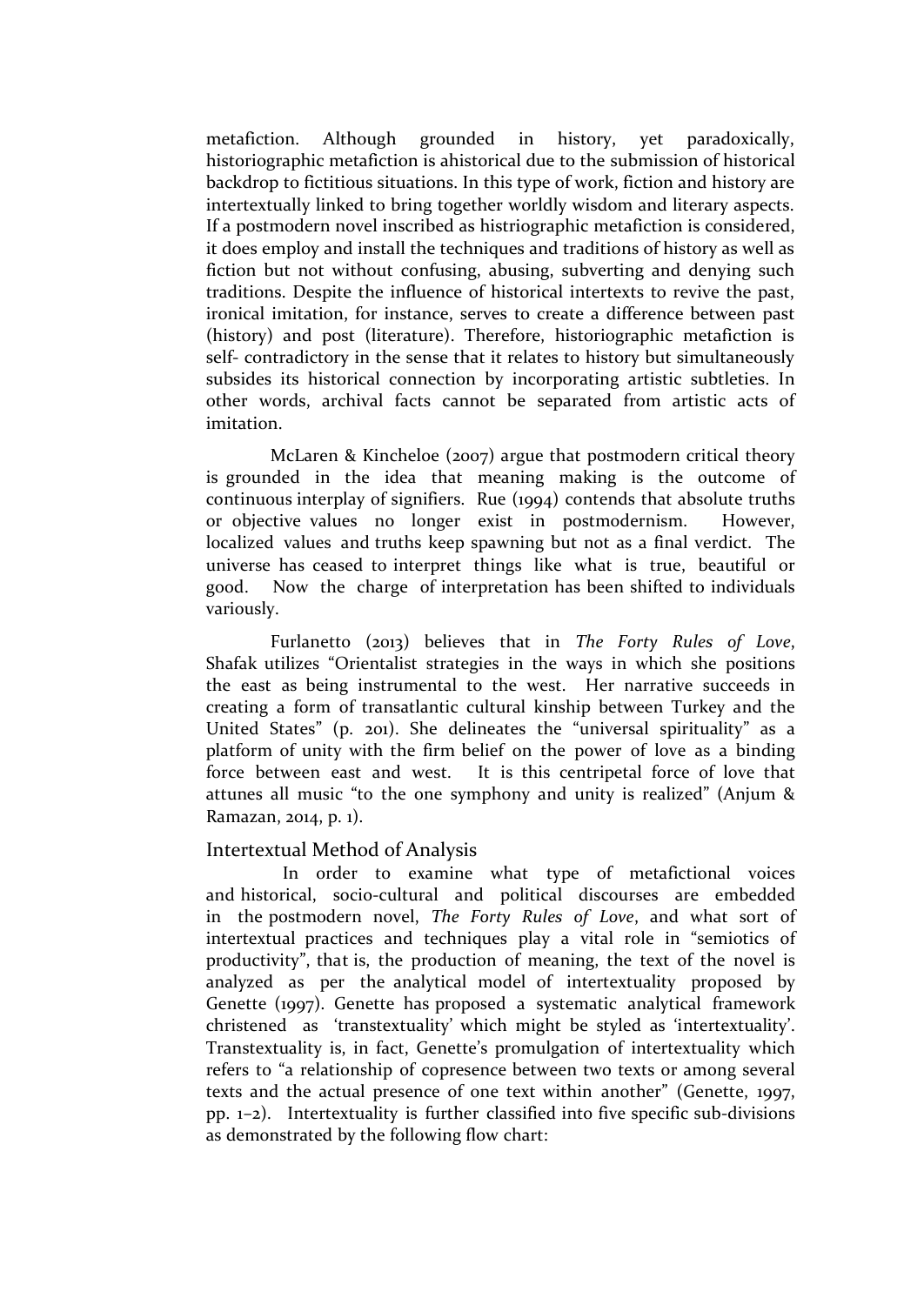metafiction. Although grounded in history, yet paradoxically, historiographic metafiction is ahistorical due to the submission of historical backdrop to fictitious situations. In this type of work, fiction and history are intertextually linked to bring together worldly wisdom and literary aspects. If a postmodern novel inscribed as histriographic metafiction is considered, it does employ and install the techniques and traditions of history as well as fiction but not without confusing, abusing, subverting and denying such traditions. Despite the influence of historical intertexts to revive the past, ironical imitation, for instance, serves to create a difference between past (history) and post (literature). Therefore, historiographic metafiction is self- contradictory in the sense that it relates to history but simultaneously subsides its historical connection by incorporating artistic subtleties. In other words, archival facts cannot be separated from artistic acts of imitation.

McLaren & Kincheloe (2007) argue that postmodern critical theory is grounded in the idea that meaning making is the outcome of continuous interplay of signifiers. Rue (1994) contends that absolute truths or objective values no longer exist in postmodernism. However, localized values and truths keep spawning but not as a final verdict. The universe has ceased to interpret things like what is true, beautiful or good. Now the charge of interpretation has been shifted to individuals variously.

Furlanetto (2013) believes that in *The Forty Rules of Love*, Shafak utilizes "Orientalist strategies in the ways in which she positions the east as being instrumental to the west. Her narrative succeeds in creating a form of transatlantic cultural kinship between Turkey and the United States" (p. 201). She delineates the "universal spirituality" as a platform of unity with the firm belief on the power of love as a binding force between east and west. It is this centripetal force of love that attunes all music "to the one symphony and unity is realized" (Anjum & Ramazan, 2014, p. 1).

### Intertextual Method of Analysis

In order to examine what type of metafictional voices and historical, socio-cultural and political discourses are embedded in the postmodern novel, *The Forty Rules of Love*, and what sort of intertextual practices and techniques play a vital role in "semiotics of productivity", that is, the production of meaning, the text of the novel is analyzed as per the analytical model of intertextuality proposed by Genette (1997). Genette has proposed a systematic analytical framework christened as 'transtextuality' which might be styled as 'intertextuality'. Transtextuality is, in fact, Genette's promulgation of intertextuality which refers to "a relationship of copresence between two texts or among several texts and the actual presence of one text within another" (Genette, 1997, pp. 1–2). Intertextuality is further classified into five specific sub-divisions as demonstrated by the following flow chart: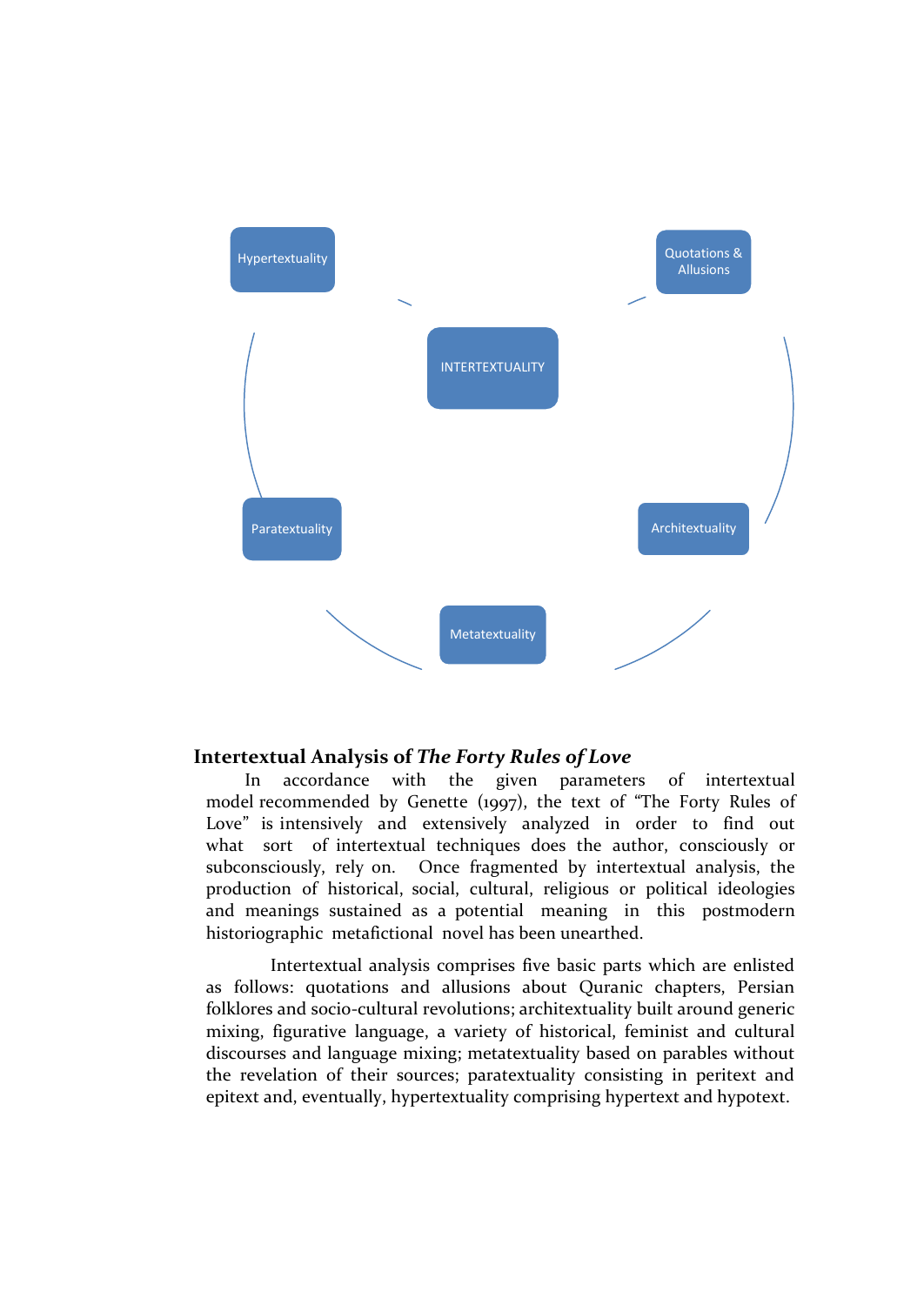

### **Intertextual Analysis of** *The Forty Rules of Love*

In accordance with the given parameters of intertextual model recommended by Genette (1997), the text of "The Forty Rules of Love" is intensively and extensively analyzed in order to find out what sort of intertextual techniques does the author, consciously or subconsciously, rely on. Once fragmented by intertextual analysis, the production of historical, social, cultural, religious or political ideologies and meanings sustained as a potential meaning in this postmodern historiographic metafictional novel has been unearthed.

Intertextual analysis comprises five basic parts which are enlisted as follows: quotations and allusions about Quranic chapters, Persian folklores and socio-cultural revolutions; architextuality built around generic mixing, figurative language, a variety of historical, feminist and cultural discourses and language mixing; metatextuality based on parables without the revelation of their sources; paratextuality consisting in peritext and epitext and, eventually, hypertextuality comprising hypertext and hypotext.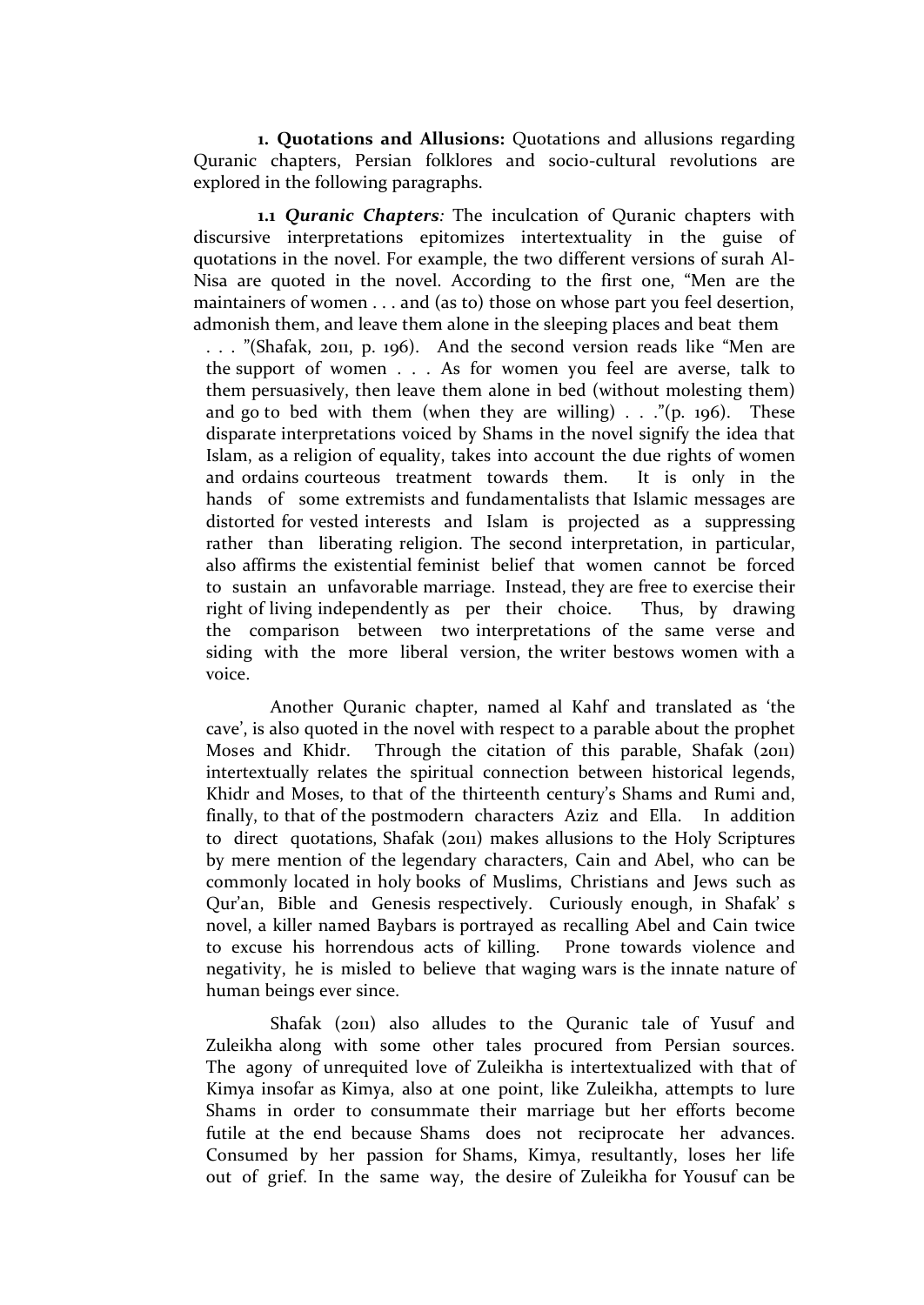**1. Quotations and Allusions:** Quotations and allusions regarding Quranic chapters, Persian folklores and socio-cultural revolutions are explored in the following paragraphs.

**1.1** *Quranic Chapters:* The inculcation of Quranic chapters with discursive interpretations epitomizes intertextuality in the guise of quotations in the novel. For example, the two different versions of surah Al-Nisa are quoted in the novel. According to the first one, "Men are the maintainers of women . . . and (as to) those on whose part you feel desertion, admonish them, and leave them alone in the sleeping places and beat them

. . . "(Shafak, 2011, p. 196). And the second version reads like "Men are the support of women . . . As for women you feel are averse, talk to them persuasively, then leave them alone in bed (without molesting them) and go to bed with them (when they are willing)  $\ldots$  "(p. 196). These disparate interpretations voiced by Shams in the novel signify the idea that Islam, as a religion of equality, takes into account the due rights of women and ordains courteous treatment towards them. It is only in the hands of some extremists and fundamentalists that Islamic messages are distorted for vested interests and Islam is projected as a suppressing rather than liberating religion. The second interpretation, in particular, also affirms the existential feminist belief that women cannot be forced to sustain an unfavorable marriage. Instead, they are free to exercise their right of living independently as per their choice. Thus, by drawing the comparison between two interpretations of the same verse and siding with the more liberal version, the writer bestows women with a voice.

Another Quranic chapter, named al Kahf and translated as 'the cave', is also quoted in the novel with respect to a parable about the prophet Moses and Khidr. Through the citation of this parable, Shafak (2011) intertextually relates the spiritual connection between historical legends, Khidr and Moses, to that of the thirteenth century's Shams and Rumi and, finally, to that of the postmodern characters Aziz and Ella. In addition to direct quotations, Shafak (2011) makes allusions to the Holy Scriptures by mere mention of the legendary characters, Cain and Abel, who can be commonly located in holy books of Muslims, Christians and Jews such as Qur'an, Bible and Genesis respectively. Curiously enough, in Shafak' s novel, a killer named Baybars is portrayed as recalling Abel and Cain twice to excuse his horrendous acts of killing. Prone towards violence and negativity, he is misled to believe that waging wars is the innate nature of human beings ever since.

Shafak (2011) also alludes to the Quranic tale of Yusuf and Zuleikha along with some other tales procured from Persian sources. The agony of unrequited love of Zuleikha is intertextualized with that of Kimya insofar as Kimya, also at one point, like Zuleikha, attempts to lure Shams in order to consummate their marriage but her efforts become futile at the end because Shams does not reciprocate her advances. Consumed by her passion for Shams, Kimya, resultantly, loses her life out of grief. In the same way, the desire of Zuleikha for Yousuf can be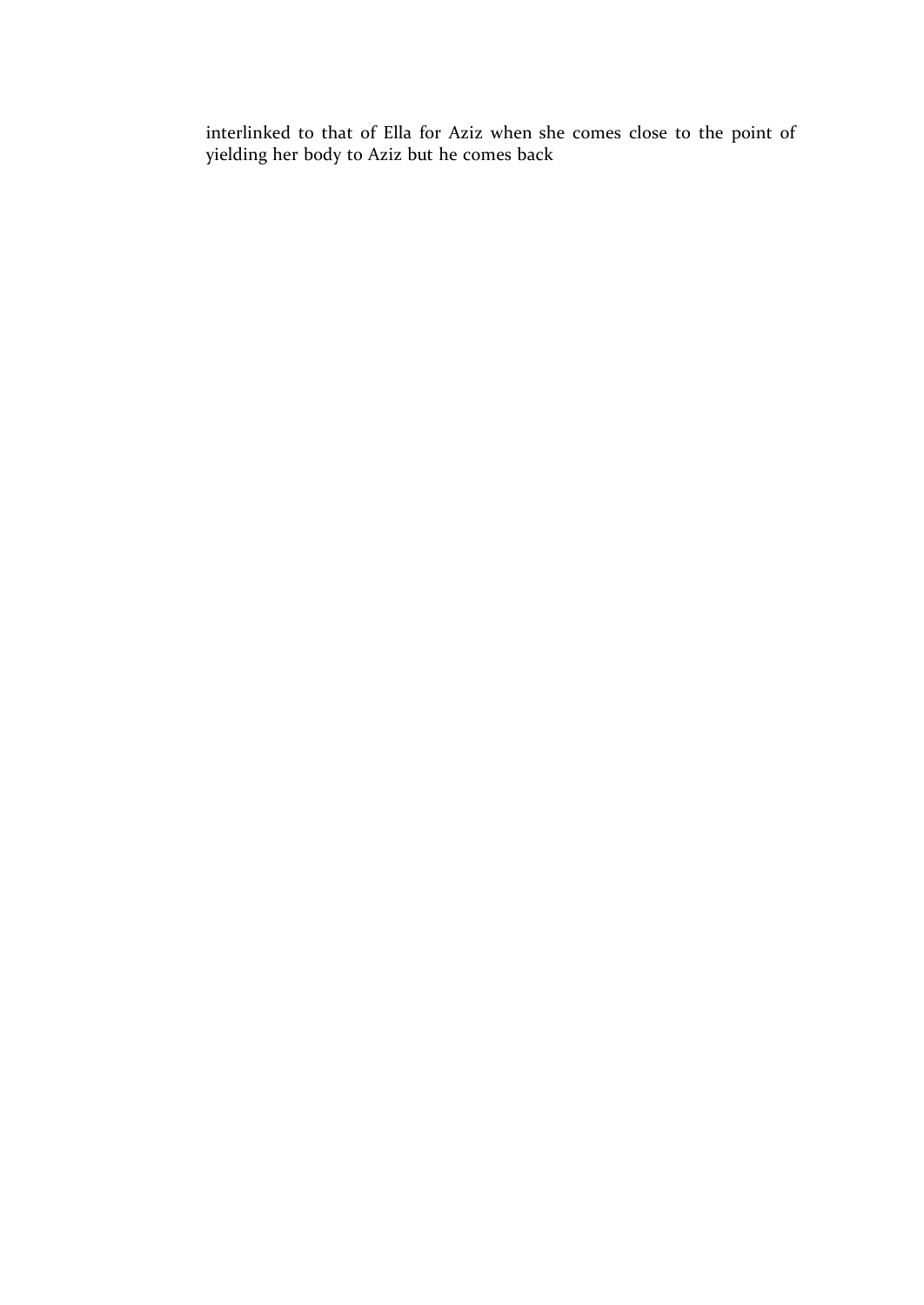interlinked to that of Ella for Aziz when she comes close to the point of yielding her body to Aziz but he comes back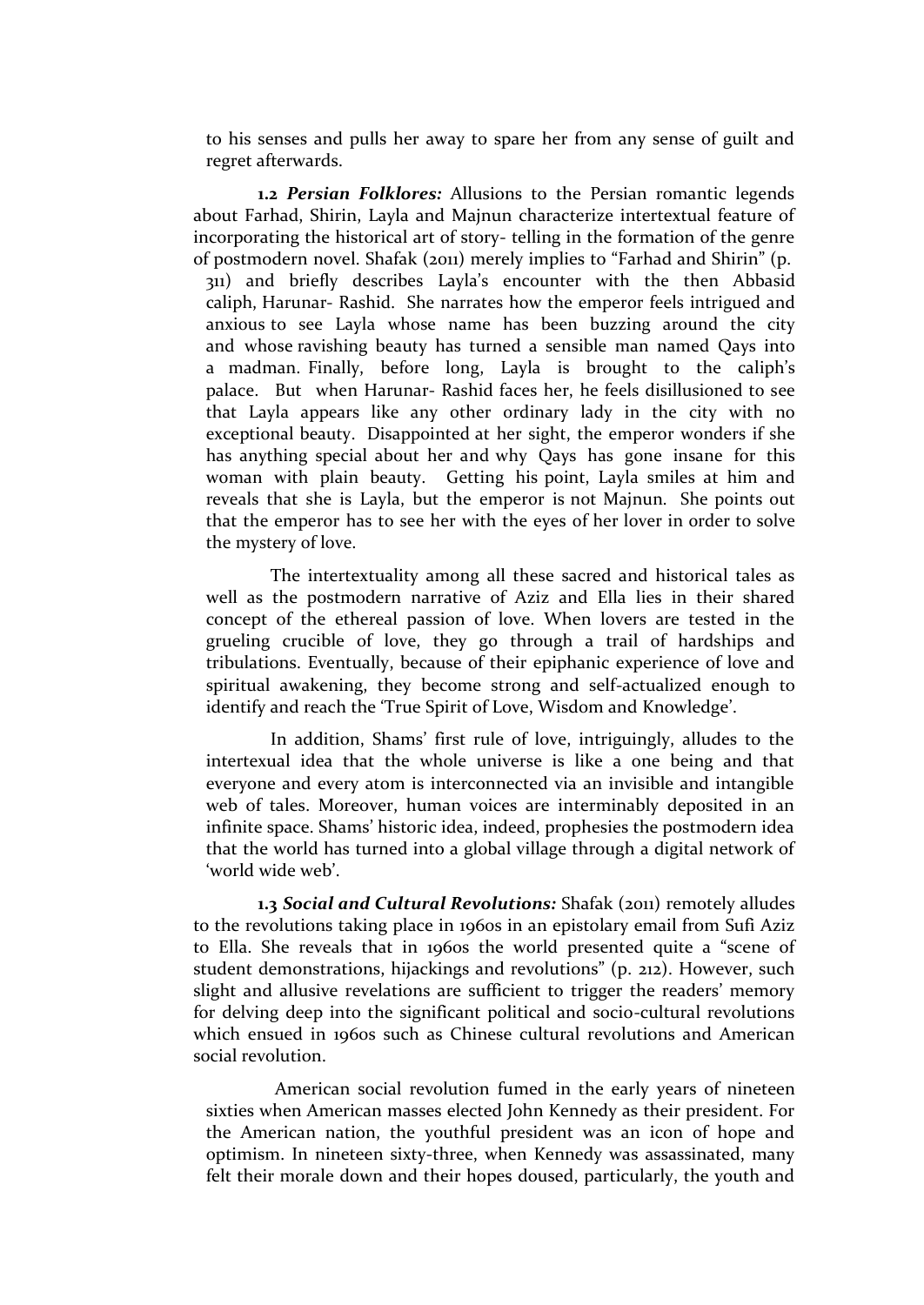to his senses and pulls her away to spare her from any sense of guilt and regret afterwards.

**1.2** *Persian Folklores:* Allusions to the Persian romantic legends about Farhad, Shirin, Layla and Majnun characterize intertextual feature of incorporating the historical art of story- telling in the formation of the genre of postmodern novel. Shafak (2011) merely implies to "Farhad and Shirin" (p. 311) and briefly describes Layla's encounter with the then Abbasid caliph, Harunar- Rashid. She narrates how the emperor feels intrigued and anxious to see Layla whose name has been buzzing around the city and whose ravishing beauty has turned a sensible man named Qays into a madman. Finally, before long, Layla is brought to the caliph's palace. But when Harunar- Rashid faces her, he feels disillusioned to see that Layla appears like any other ordinary lady in the city with no exceptional beauty. Disappointed at her sight, the emperor wonders if she has anything special about her and why Qays has gone insane for this woman with plain beauty. Getting his point, Layla smiles at him and reveals that she is Layla, but the emperor is not Majnun. She points out that the emperor has to see her with the eyes of her lover in order to solve the mystery of love.

The intertextuality among all these sacred and historical tales as well as the postmodern narrative of Aziz and Ella lies in their shared concept of the ethereal passion of love. When lovers are tested in the grueling crucible of love, they go through a trail of hardships and tribulations. Eventually, because of their epiphanic experience of love and spiritual awakening, they become strong and self-actualized enough to identify and reach the 'True Spirit of Love, Wisdom and Knowledge'.

In addition, Shams' first rule of love, intriguingly, alludes to the intertexual idea that the whole universe is like a one being and that everyone and every atom is interconnected via an invisible and intangible web of tales. Moreover, human voices are interminably deposited in an infinite space. Shams' historic idea, indeed, prophesies the postmodern idea that the world has turned into a global village through a digital network of 'world wide web'.

1.3 Social and Cultural Revolutions: Shafak (2011) remotely alludes to the revolutions taking place in 1960s in an epistolary email from Sufi Aziz to Ella. She reveals that in 1960s the world presented quite a "scene of student demonstrations, hijackings and revolutions" (p. 212). However, such slight and allusive revelations are sufficient to trigger the readers' memory for delving deep into the significant political and socio-cultural revolutions which ensued in 1960s such as Chinese cultural revolutions and American social revolution.

American social revolution fumed in the early years of nineteen sixties when American masses elected John Kennedy as their president. For the American nation, the youthful president was an icon of hope and optimism. In nineteen sixty-three, when Kennedy was assassinated, many felt their morale down and their hopes doused, particularly, the youth and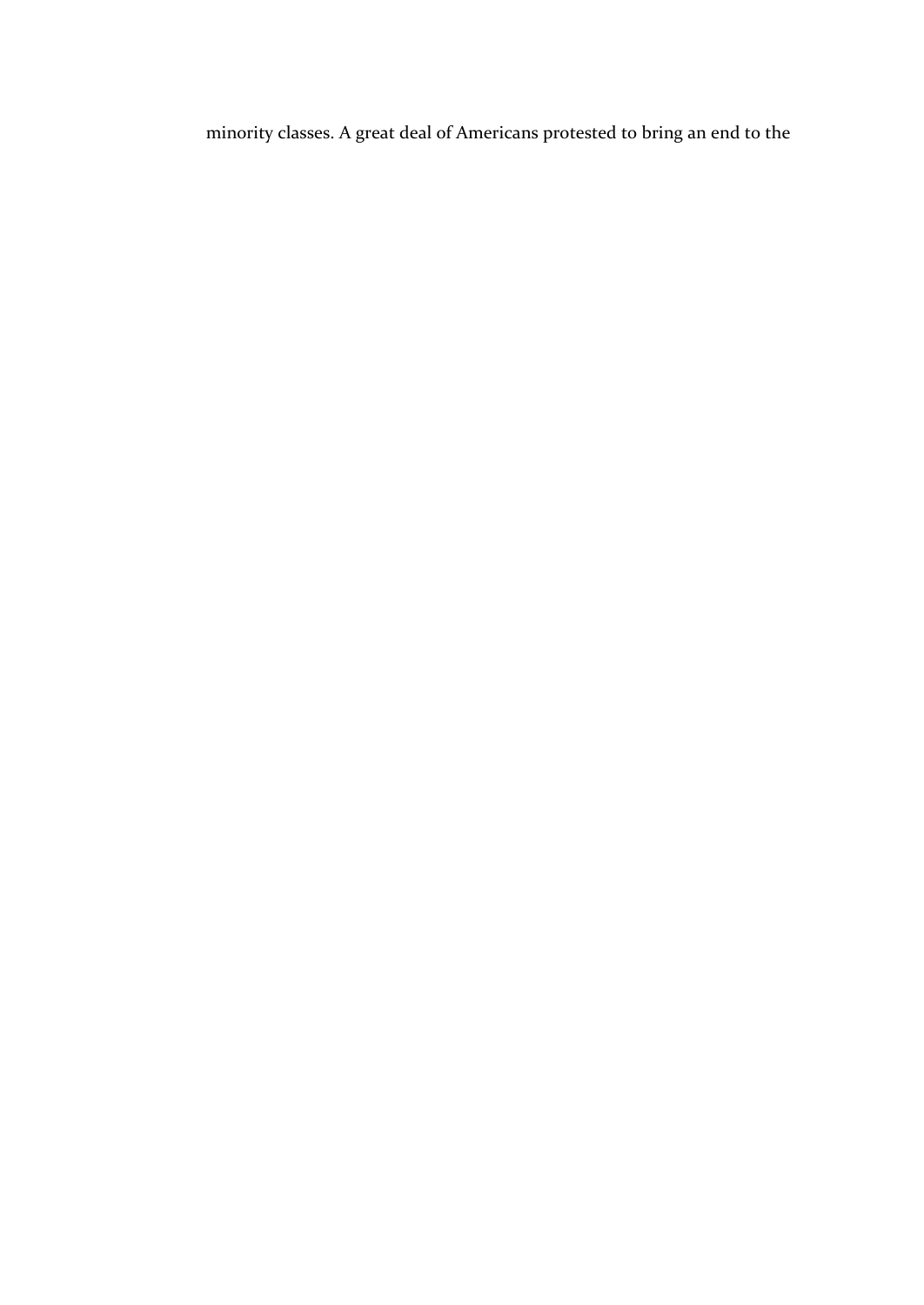minority classes. A great deal of Americans protested to bring an end to the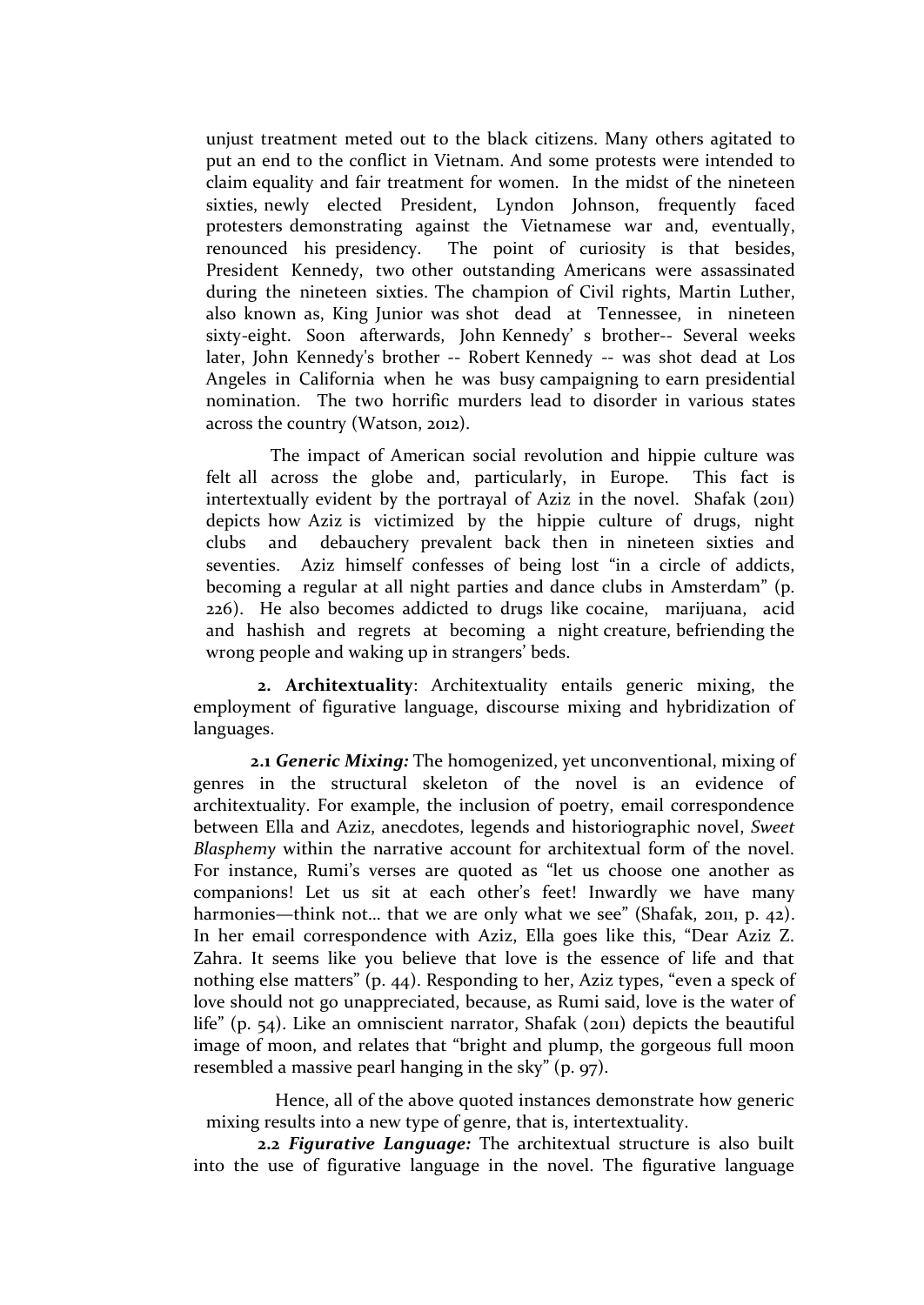unjust treatment meted out to the black citizens. Many others agitated to put an end to the conflict in Vietnam. And some protests were intended to claim equality and fair treatment for women. In the midst of the nineteen sixties, newly elected President, Lyndon Johnson, frequently faced protesters demonstrating against the Vietnamese war and, eventually, renounced his presidency. The point of curiosity is that besides, President Kennedy, two other outstanding Americans were assassinated during the nineteen sixties. The champion of Civil rights, Martin Luther, also known as, King Junior was shot dead at Tennessee, in nineteen sixty-eight. Soon afterwards, John Kennedy' s brother-- Several weeks later, John Kennedy's brother -- Robert Kennedy -- was shot dead at Los Angeles in California when he was busy campaigning to earn presidential nomination. The two horrific murders lead to disorder in various states across the country (Watson, 2012).

The impact of American social revolution and hippie culture was felt all across the globe and, particularly, in Europe. This fact is intertextually evident by the portrayal of Aziz in the novel. Shafak (2011) depicts how Aziz is victimized by the hippie culture of drugs, night clubs and debauchery prevalent back then in nineteen sixties and seventies. Aziz himself confesses of being lost "in a circle of addicts, becoming a regular at all night parties and dance clubs in Amsterdam" (p. 226). He also becomes addicted to drugs like cocaine, marijuana, acid and hashish and regrets at becoming a night creature, befriending the wrong people and waking up in strangers' beds.

**2. Architextuality**: Architextuality entails generic mixing, the employment of figurative language, discourse mixing and hybridization of languages.

**2.1** *Generic Mixing:* The homogenized, yet unconventional, mixing of genres in the structural skeleton of the novel is an evidence of architextuality. For example, the inclusion of poetry, email correspondence between Ella and Aziz, anecdotes, legends and historiographic novel, *Sweet Blasphemy* within the narrative account for architextual form of the novel. For instance, Rumi's verses are quoted as "let us choose one another as companions! Let us sit at each other's feet! Inwardly we have many harmonies—think not... that we are only what we see" (Shafak, 2011, p. 42). In her email correspondence with Aziz, Ella goes like this, "Dear Aziz Z. Zahra. It seems like you believe that love is the essence of life and that nothing else matters" (p. 44). Responding to her, Aziz types, "even a speck of love should not go unappreciated, because, as Rumi said, love is the water of life" (p. 54). Like an omniscient narrator, Shafak (2011) depicts the beautiful image of moon, and relates that "bright and plump, the gorgeous full moon resembled a massive pearl hanging in the sky" (p. 97).

Hence, all of the above quoted instances demonstrate how generic mixing results into a new type of genre, that is, intertextuality.

**2.2** *Figurative Language:* The architextual structure is also built into the use of figurative language in the novel. The figurative language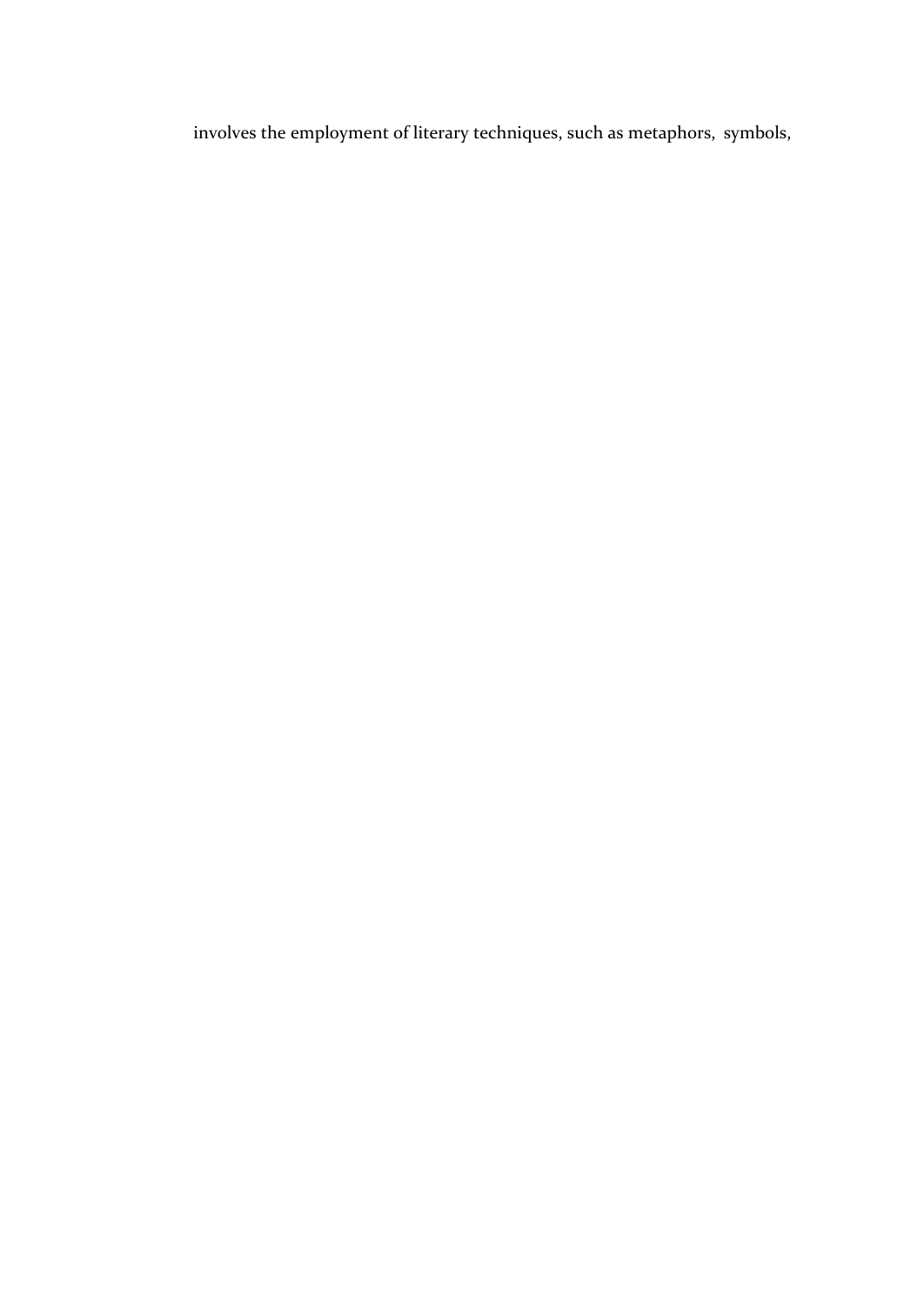involves the employment of literary techniques, such as metaphors, symbols,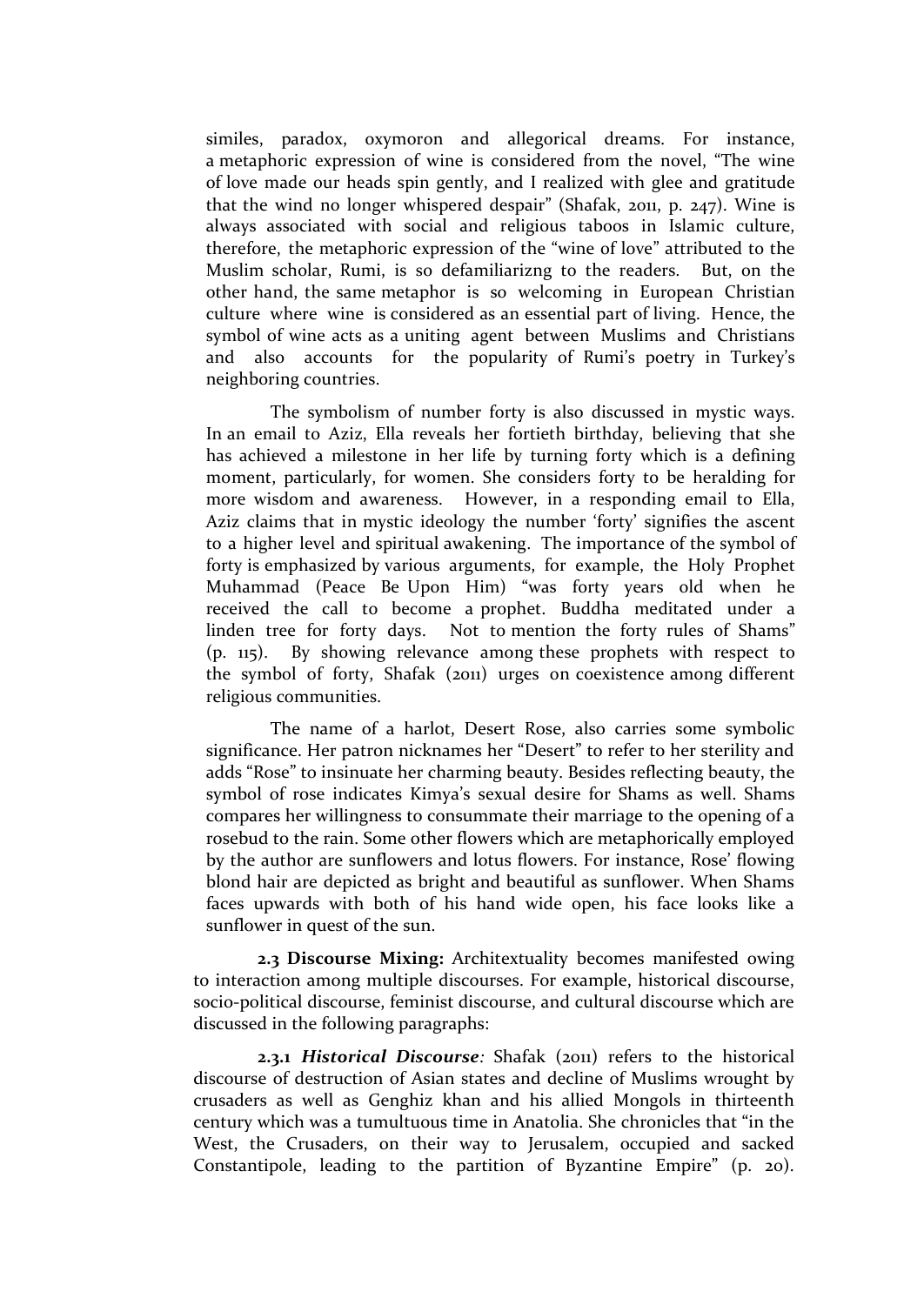similes, paradox, oxymoron and allegorical dreams. For instance, a metaphoric expression of wine is considered from the novel, "The wine of love made our heads spin gently, and I realized with glee and gratitude that the wind no longer whispered despair" (Shafak, 2011, p. 247). Wine is always associated with social and religious taboos in Islamic culture, therefore, the metaphoric expression of the "wine of love" attributed to the Muslim scholar, Rumi, is so defamiliarizng to the readers. But, on the other hand, the same metaphor is so welcoming in European Christian culture where wine is considered as an essential part of living. Hence, the symbol of wine acts as a uniting agent between Muslims and Christians and also accounts for the popularity of Rumi's poetry in Turkey's neighboring countries.

The symbolism of number forty is also discussed in mystic ways. In an email to Aziz, Ella reveals her fortieth birthday, believing that she has achieved a milestone in her life by turning forty which is a defining moment, particularly, for women. She considers forty to be heralding for more wisdom and awareness. However, in a responding email to Ella, Aziz claims that in mystic ideology the number 'forty' signifies the ascent to a higher level and spiritual awakening. The importance of the symbol of forty is emphasized by various arguments, for example, the Holy Prophet Muhammad (Peace Be Upon Him) "was forty years old when he received the call to become a prophet. Buddha meditated under a linden tree for forty days. Not to mention the forty rules of Shams" (p. 115). By showing relevance among these prophets with respect to the symbol of forty, Shafak (2011) urges on coexistence among different religious communities.

The name of a harlot, Desert Rose, also carries some symbolic significance. Her patron nicknames her "Desert" to refer to her sterility and adds "Rose" to insinuate her charming beauty. Besides reflecting beauty, the symbol of rose indicates Kimya's sexual desire for Shams as well. Shams compares her willingness to consummate their marriage to the opening of a rosebud to the rain. Some other flowers which are metaphorically employed by the author are sunflowers and lotus flowers. For instance, Rose' flowing blond hair are depicted as bright and beautiful as sunflower. When Shams faces upwards with both of his hand wide open, his face looks like a sunflower in quest of the sun.

**2.3 Discourse Mixing:** Architextuality becomes manifested owing to interaction among multiple discourses. For example, historical discourse, socio-political discourse, feminist discourse, and cultural discourse which are discussed in the following paragraphs:

**2.3.1** *Historical Discourse:* Shafak (2011) refers to the historical discourse of destruction of Asian states and decline of Muslims wrought by crusaders as well as Genghiz khan and his allied Mongols in thirteenth century which was a tumultuous time in Anatolia. She chronicles that "in the West, the Crusaders, on their way to Jerusalem, occupied and sacked Constantipole, leading to the partition of Byzantine Empire" (p. 20).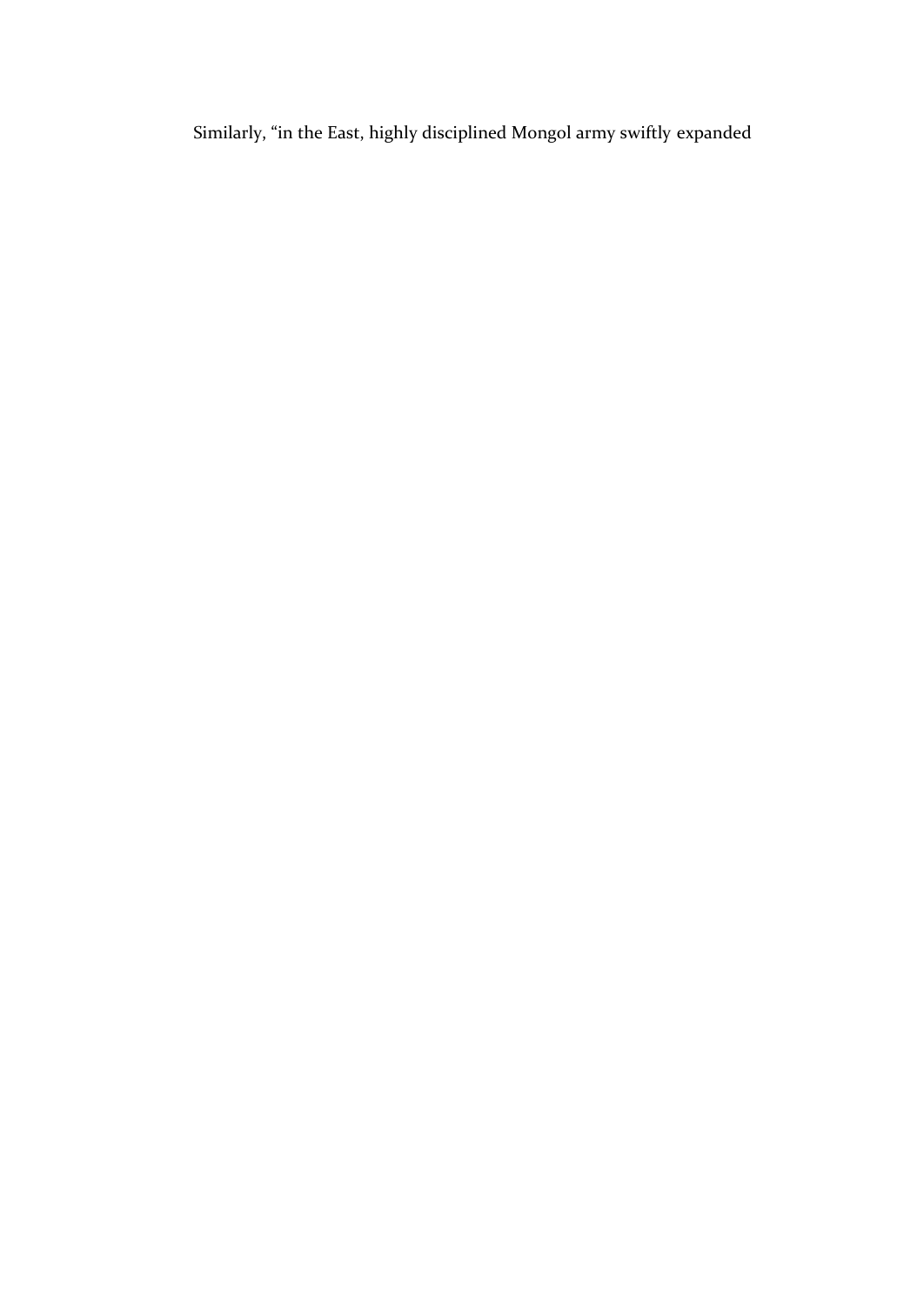Similarly, "in the East, highly disciplined Mongol army swiftly expanded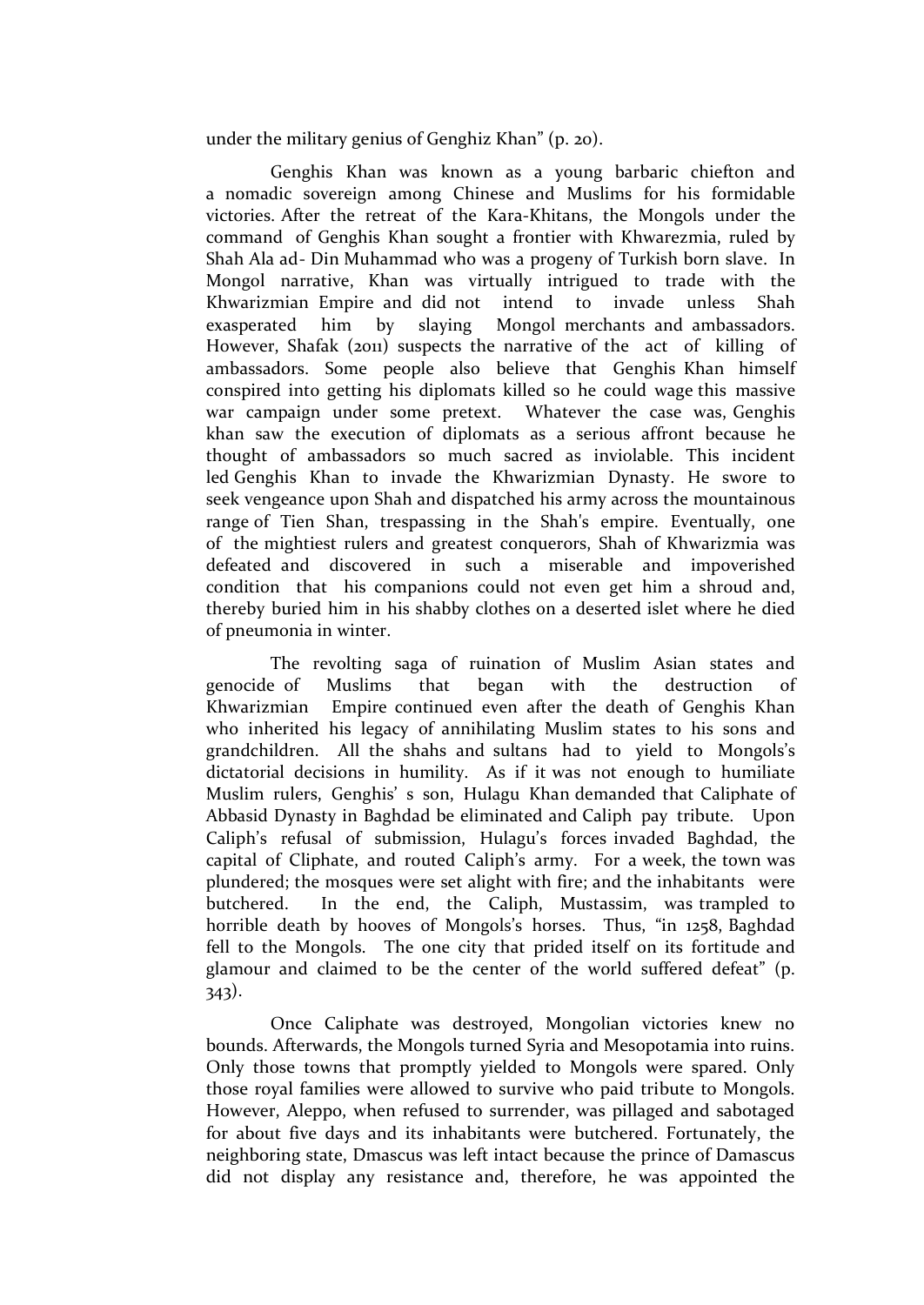under the military genius of Genghiz Khan" (p. 20).

Genghis Khan was known as a young barbaric chiefton and a nomadic sovereign among Chinese and Muslims for his formidable victories. After the retreat of the Kara-Khitans, the Mongols under the command of Genghis Khan sought a frontier with Khwarezmia, ruled by Shah Ala ad- Din Muhammad who was a progeny of Turkish born slave. In Mongol narrative, Khan was virtually intrigued to trade with the Khwarizmian Empire and did not intend to invade unless Shah exasperated him by slaying Mongol merchants and ambassadors. However, Shafak (2011) suspects the narrative of the act of killing of ambassadors. Some people also believe that Genghis Khan himself conspired into getting his diplomats killed so he could wage this massive war campaign under some pretext. Whatever the case was, Genghis khan saw the execution of diplomats as a serious affront because he thought of ambassadors so much sacred as inviolable. This incident led Genghis Khan to invade the Khwarizmian Dynasty. He swore to seek vengeance upon Shah and dispatched his army across the mountainous range of Tien Shan, trespassing in the Shah's empire. Eventually, one of the mightiest rulers and greatest conquerors, Shah of Khwarizmia was defeated and discovered in such a miserable and impoverished condition that his companions could not even get him a shroud and, thereby buried him in his shabby clothes on a deserted islet where he died of pneumonia in winter.

The revolting saga of ruination of Muslim Asian states and genocide of Muslims that began with the destruction of Khwarizmian Empire continued even after the death of Genghis Khan who inherited his legacy of annihilating Muslim states to his sons and grandchildren. All the shahs and sultans had to yield to Mongols's dictatorial decisions in humility. As if it was not enough to humiliate Muslim rulers, Genghis' s son, Hulagu Khan demanded that Caliphate of Abbasid Dynasty in Baghdad be eliminated and Caliph pay tribute. Upon Caliph's refusal of submission, Hulagu's forces invaded Baghdad, the capital of Cliphate, and routed Caliph's army. For a week, the town was plundered; the mosques were set alight with fire; and the inhabitants were butchered. In the end, the Caliph, Mustassim, was trampled to horrible death by hooves of Mongols's horses. Thus, "in 1258, Baghdad fell to the Mongols. The one city that prided itself on its fortitude and glamour and claimed to be the center of the world suffered defeat" (p. 343).

Once Caliphate was destroyed, Mongolian victories knew no bounds. Afterwards, the Mongols turned Syria and Mesopotamia into ruins. Only those towns that promptly yielded to Mongols were spared. Only those royal families were allowed to survive who paid tribute to Mongols. However, Aleppo, when refused to surrender, was pillaged and sabotaged for about five days and its inhabitants were butchered. Fortunately, the neighboring state, Dmascus was left intact because the prince of Damascus did not display any resistance and, therefore, he was appointed the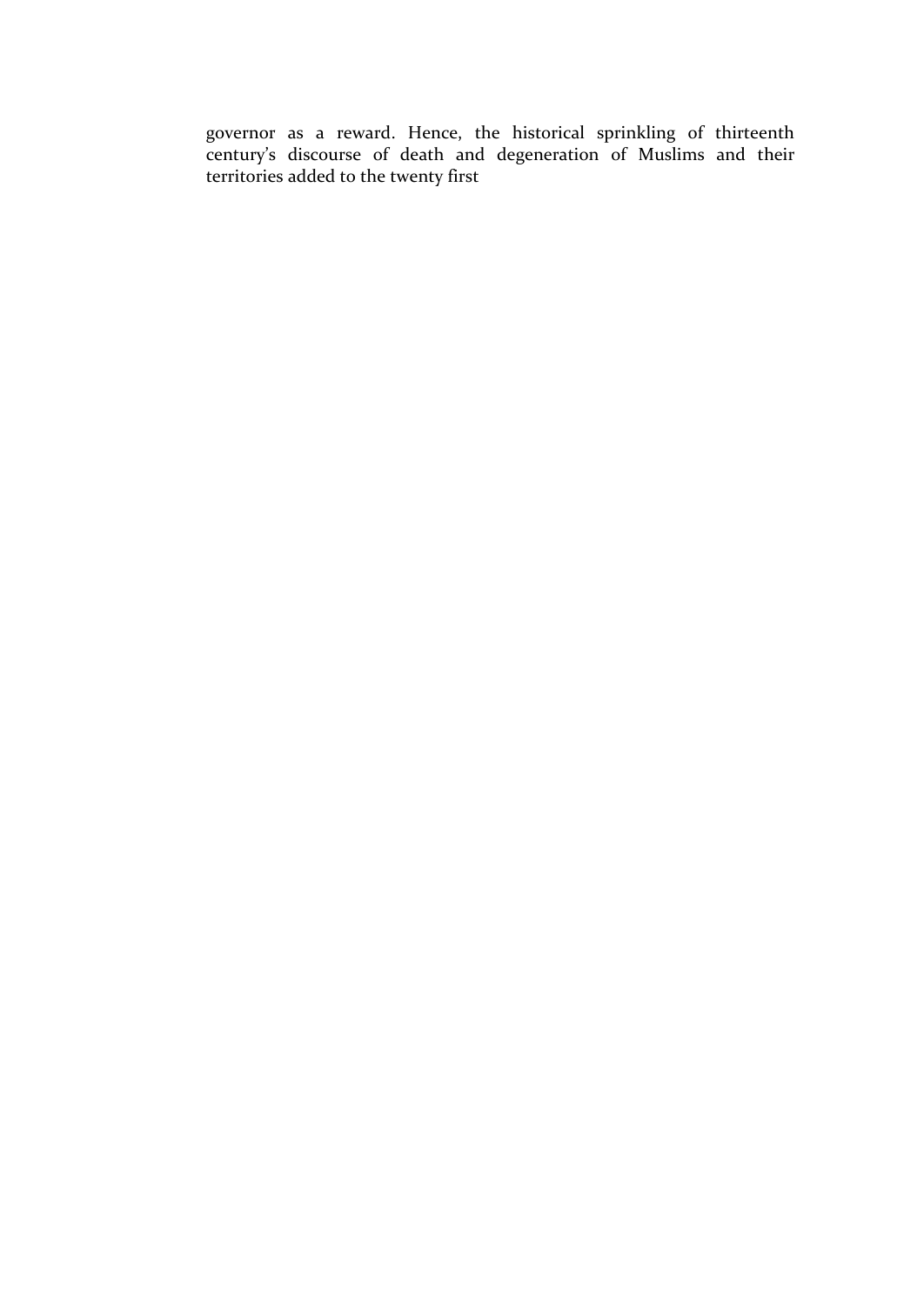governor as a reward. Hence, the historical sprinkling of thirteenth century's discourse of death and degeneration of Muslims and their territories added to the twenty first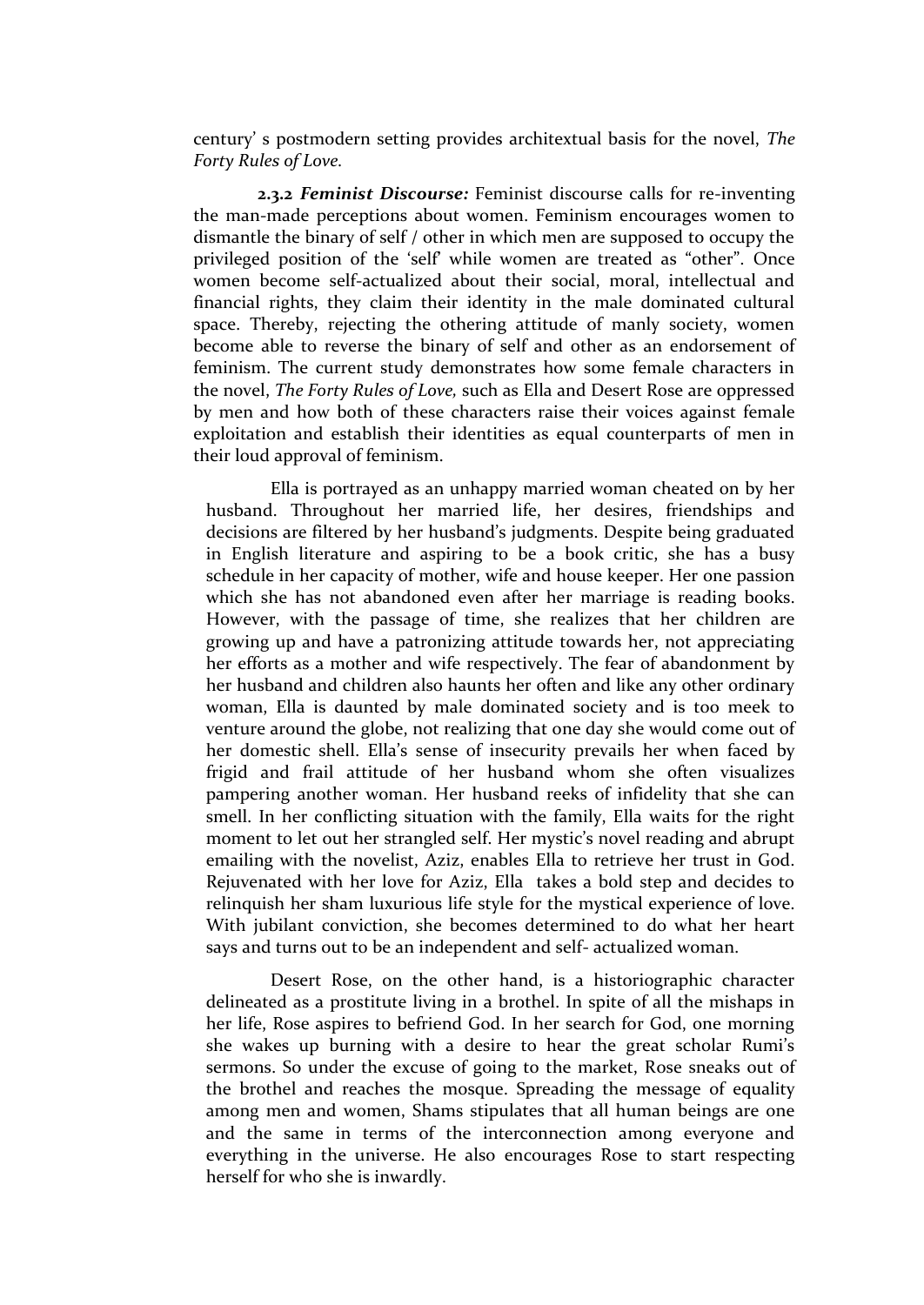century' s postmodern setting provides architextual basis for the novel, *The Forty Rules of Love.*

**2.3.2** *Feminist Discourse:* Feminist discourse calls for re-inventing the man-made perceptions about women. Feminism encourages women to dismantle the binary of self / other in which men are supposed to occupy the privileged position of the 'self' while women are treated as "other". Once women become self-actualized about their social, moral, intellectual and financial rights, they claim their identity in the male dominated cultural space. Thereby, rejecting the othering attitude of manly society, women become able to reverse the binary of self and other as an endorsement of feminism. The current study demonstrates how some female characters in the novel, *The Forty Rules of Love,* such as Ella and Desert Rose are oppressed by men and how both of these characters raise their voices against female exploitation and establish their identities as equal counterparts of men in their loud approval of feminism.

Ella is portrayed as an unhappy married woman cheated on by her husband. Throughout her married life, her desires, friendships and decisions are filtered by her husband's judgments. Despite being graduated in English literature and aspiring to be a book critic, she has a busy schedule in her capacity of mother, wife and house keeper. Her one passion which she has not abandoned even after her marriage is reading books. However, with the passage of time, she realizes that her children are growing up and have a patronizing attitude towards her, not appreciating her efforts as a mother and wife respectively. The fear of abandonment by her husband and children also haunts her often and like any other ordinary woman, Ella is daunted by male dominated society and is too meek to venture around the globe, not realizing that one day she would come out of her domestic shell. Ella's sense of insecurity prevails her when faced by frigid and frail attitude of her husband whom she often visualizes pampering another woman. Her husband reeks of infidelity that she can smell. In her conflicting situation with the family, Ella waits for the right moment to let out her strangled self. Her mystic's novel reading and abrupt emailing with the novelist, Aziz, enables Ella to retrieve her trust in God. Rejuvenated with her love for Aziz, Ella takes a bold step and decides to relinquish her sham luxurious life style for the mystical experience of love. With jubilant conviction, she becomes determined to do what her heart says and turns out to be an independent and self- actualized woman.

Desert Rose, on the other hand, is a historiographic character delineated as a prostitute living in a brothel. In spite of all the mishaps in her life, Rose aspires to befriend God. In her search for God, one morning she wakes up burning with a desire to hear the great scholar Rumi's sermons. So under the excuse of going to the market, Rose sneaks out of the brothel and reaches the mosque. Spreading the message of equality among men and women, Shams stipulates that all human beings are one and the same in terms of the interconnection among everyone and everything in the universe. He also encourages Rose to start respecting herself for who she is inwardly.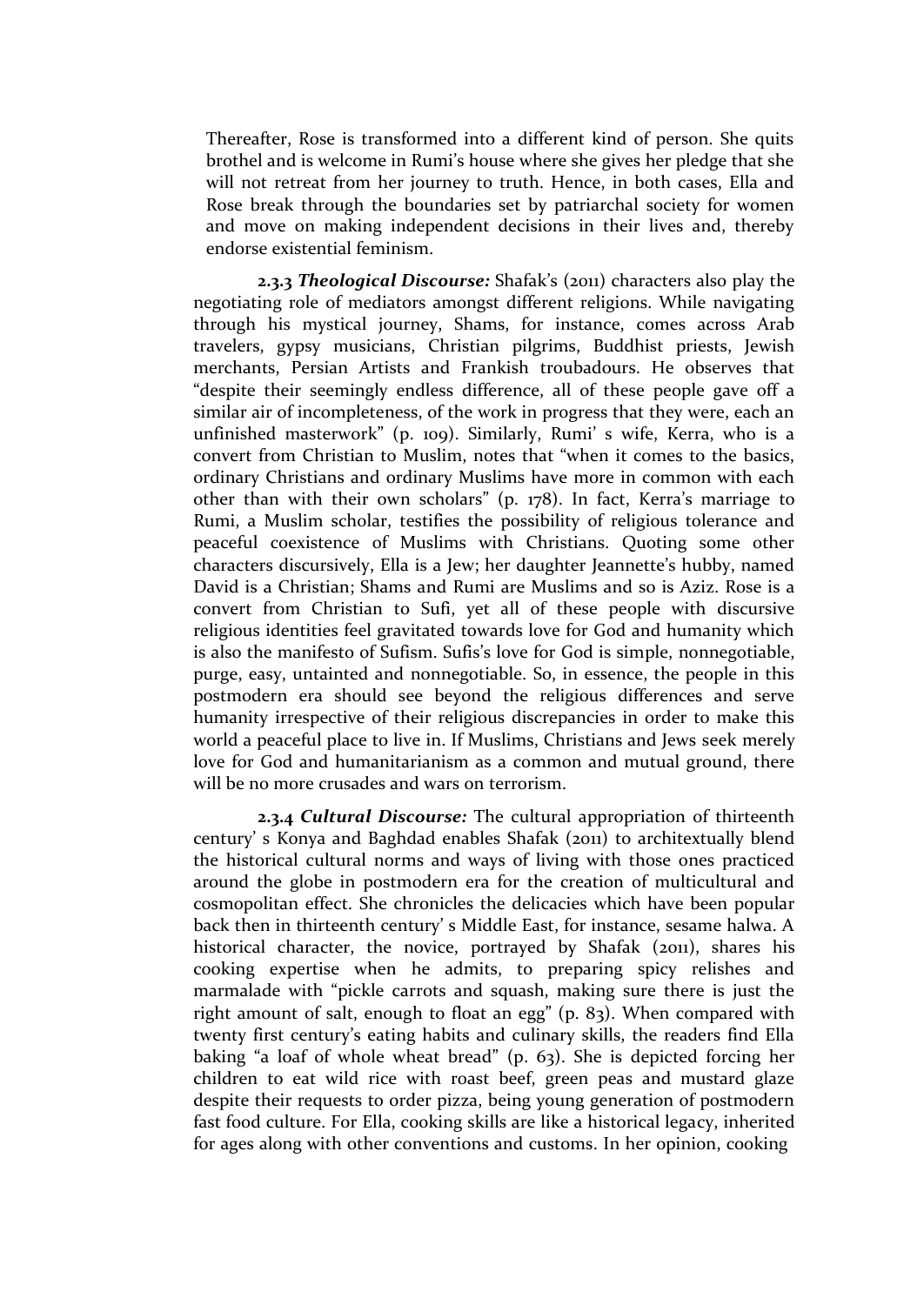Thereafter, Rose is transformed into a different kind of person. She quits brothel and is welcome in Rumi's house where she gives her pledge that she will not retreat from her journey to truth. Hence, in both cases, Ella and Rose break through the boundaries set by patriarchal society for women and move on making independent decisions in their lives and, thereby endorse existential feminism.

**2.3.3** *Theological Discourse:* Shafak's (2011) characters also play the negotiating role of mediators amongst different religions. While navigating through his mystical journey, Shams, for instance, comes across Arab travelers, gypsy musicians, Christian pilgrims, Buddhist priests, Jewish merchants, Persian Artists and Frankish troubadours. He observes that "despite their seemingly endless difference, all of these people gave off a similar air of incompleteness, of the work in progress that they were, each an unfinished masterwork" (p. 109). Similarly, Rumi' s wife, Kerra, who is a convert from Christian to Muslim, notes that "when it comes to the basics, ordinary Christians and ordinary Muslims have more in common with each other than with their own scholars" (p. 178). In fact, Kerra's marriage to Rumi, a Muslim scholar, testifies the possibility of religious tolerance and peaceful coexistence of Muslims with Christians. Quoting some other characters discursively, Ella is a Jew; her daughter Jeannette's hubby, named David is a Christian; Shams and Rumi are Muslims and so is Aziz. Rose is a convert from Christian to Sufi, yet all of these people with discursive religious identities feel gravitated towards love for God and humanity which is also the manifesto of Sufism. Sufis's love for God is simple, nonnegotiable, purge, easy, untainted and nonnegotiable. So, in essence, the people in this postmodern era should see beyond the religious differences and serve humanity irrespective of their religious discrepancies in order to make this world a peaceful place to live in. If Muslims, Christians and Jews seek merely love for God and humanitarianism as a common and mutual ground, there will be no more crusades and wars on terrorism.

**2.3.4** *Cultural Discourse:* The cultural appropriation of thirteenth century' s Konya and Baghdad enables Shafak (2011) to architextually blend the historical cultural norms and ways of living with those ones practiced around the globe in postmodern era for the creation of multicultural and cosmopolitan effect. She chronicles the delicacies which have been popular back then in thirteenth century' s Middle East, for instance, sesame halwa. A historical character, the novice, portrayed by Shafak (2011), shares his cooking expertise when he admits, to preparing spicy relishes and marmalade with "pickle carrots and squash, making sure there is just the right amount of salt, enough to float an egg" (p. 83). When compared with twenty first century's eating habits and culinary skills, the readers find Ella baking "a loaf of whole wheat bread" (p. 63). She is depicted forcing her children to eat wild rice with roast beef, green peas and mustard glaze despite their requests to order pizza, being young generation of postmodern fast food culture. For Ella, cooking skills are like a historical legacy, inherited for ages along with other conventions and customs. In her opinion, cooking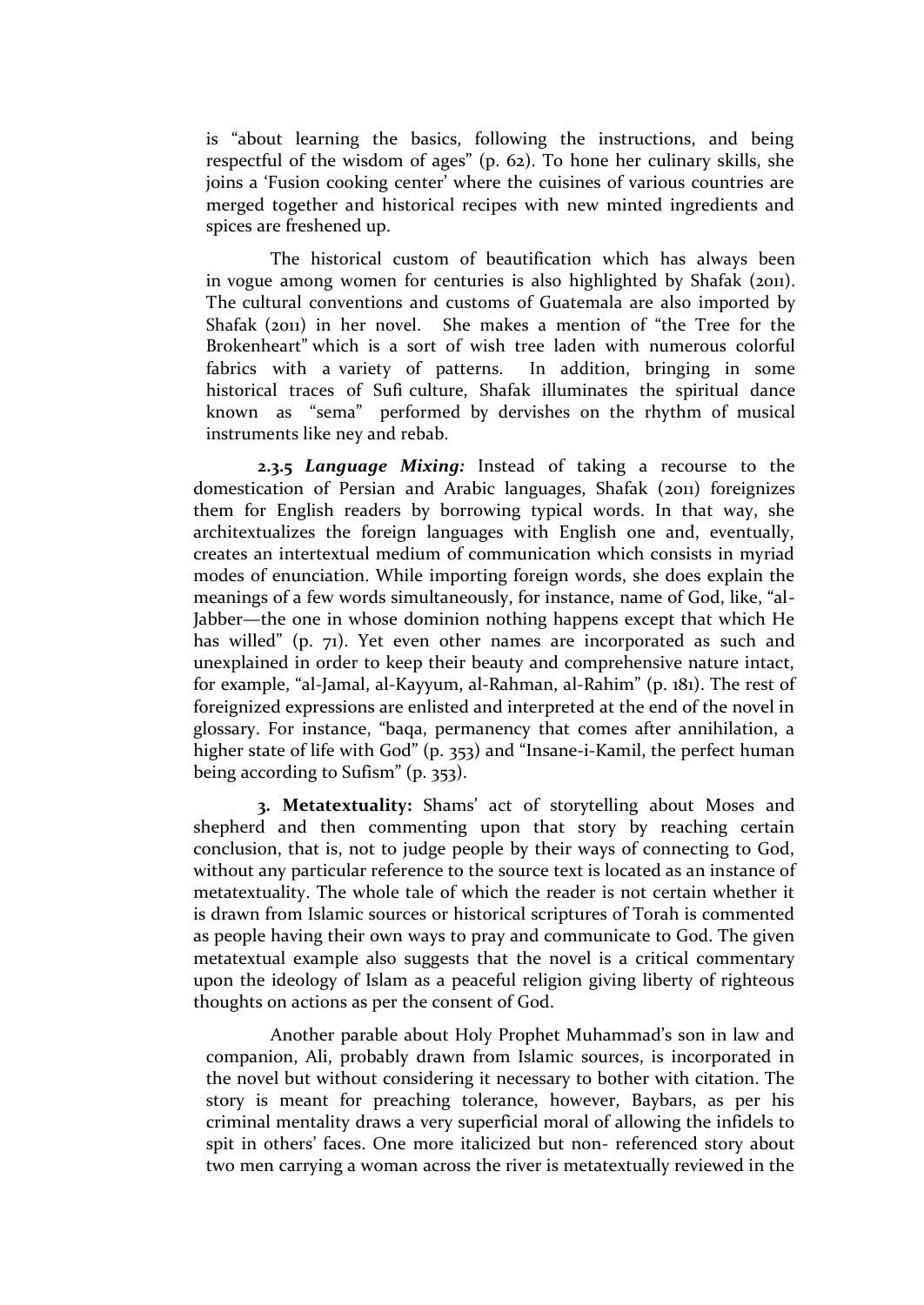is "about learning the basics, following the instructions, and being respectful of the wisdom of ages" (p. 62). To hone her culinary skills, she joins a 'Fusion cooking center' where the cuisines of various countries are merged together and historical recipes with new minted ingredients and spices are freshened up.

The historical custom of beautification which has always been in vogue among women for centuries is also highlighted by Shafak (2011). The cultural conventions and customs of Guatemala are also imported by Shafak (2011) in her novel. She makes a mention of "the Tree for the Brokenheart" which is a sort of wish tree laden with numerous colorful fabrics with a variety of patterns. In addition, bringing in some historical traces of Sufi culture, Shafak illuminates the spiritual dance known as "sema" performed by dervishes on the rhythm of musical instruments like ney and rebab.

**2.3.5** *Language Mixing:* Instead of taking a recourse to the domestication of Persian and Arabic languages, Shafak (2011) foreignizes them for English readers by borrowing typical words. In that way, she architextualizes the foreign languages with English one and, eventually, creates an intertextual medium of communication which consists in myriad modes of enunciation. While importing foreign words, she does explain the meanings of a few words simultaneously, for instance, name of God, like, "al-Jabber—the one in whose dominion nothing happens except that which He has willed" (p. 71). Yet even other names are incorporated as such and unexplained in order to keep their beauty and comprehensive nature intact, for example, "al-Jamal, al-Kayyum, al-Rahman, al-Rahim" (p. 181). The rest of foreignized expressions are enlisted and interpreted at the end of the novel in glossary. For instance, "baqa, permanency that comes after annihilation, a higher state of life with God" (p. 353) and "Insane-i-Kamil, the perfect human being according to Sufism" (p. 353).

**3. Metatextuality:** Shams' act of storytelling about Moses and shepherd and then commenting upon that story by reaching certain conclusion, that is, not to judge people by their ways of connecting to God, without any particular reference to the source text is located as an instance of metatextuality. The whole tale of which the reader is not certain whether it is drawn from Islamic sources or historical scriptures of Torah is commented as people having their own ways to pray and communicate to God. The given metatextual example also suggests that the novel is a critical commentary upon the ideology of Islam as a peaceful religion giving liberty of righteous thoughts on actions as per the consent of God.

Another parable about Holy Prophet Muhammad's son in law and companion, Ali, probably drawn from Islamic sources, is incorporated in the novel but without considering it necessary to bother with citation. The story is meant for preaching tolerance, however, Baybars, as per his criminal mentality draws a very superficial moral of allowing the infidels to spit in others' faces. One more italicized but non- referenced story about two men carrying a woman across the river is metatextually reviewed in the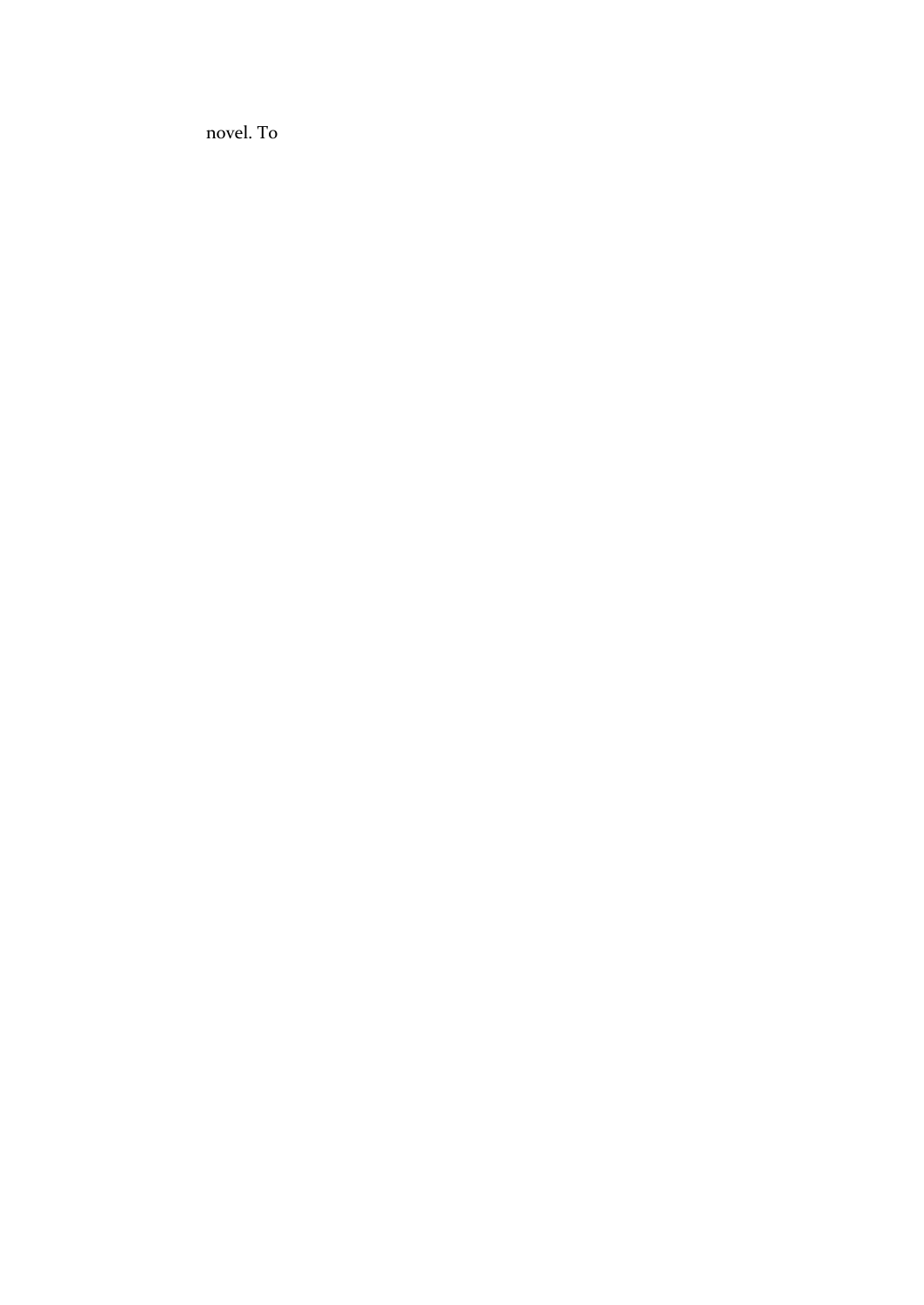novel. To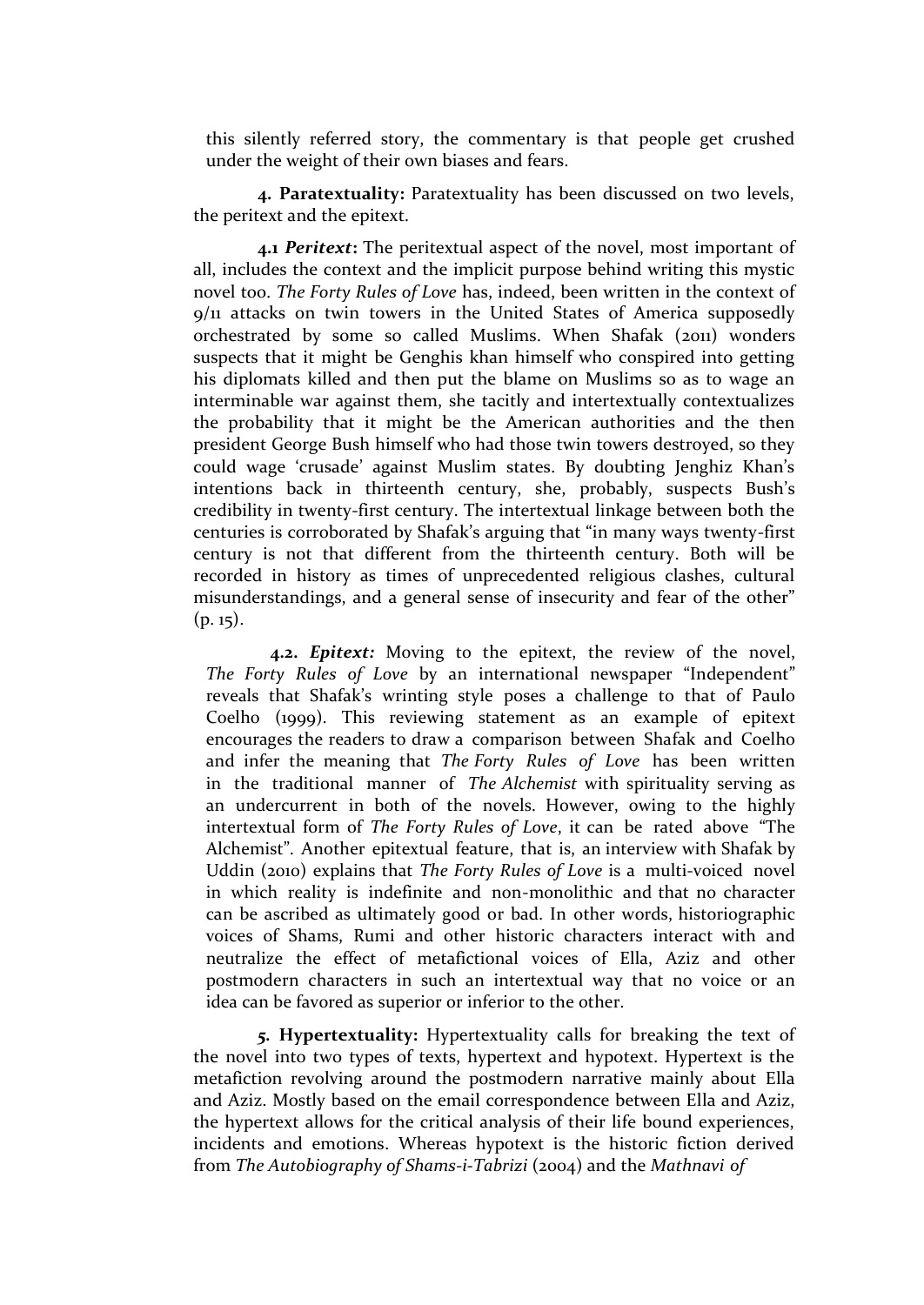this silently referred story, the commentary is that people get crushed under the weight of their own biases and fears.

**4. Paratextuality:** Paratextuality has been discussed on two levels, the peritext and the epitext.

**4.1** *Peritext***:** The peritextual aspect of the novel, most important of all, includes the context and the implicit purpose behind writing this mystic novel too. *The Forty Rules of Love* has, indeed, been written in the context of 9/11 attacks on twin towers in the United States of America supposedly orchestrated by some so called Muslims. When Shafak (2011) wonders suspects that it might be Genghis khan himself who conspired into getting his diplomats killed and then put the blame on Muslims so as to wage an interminable war against them, she tacitly and intertextually contextualizes the probability that it might be the American authorities and the then president George Bush himself who had those twin towers destroyed, so they could wage 'crusade' against Muslim states. By doubting Jenghiz Khan's intentions back in thirteenth century, she, probably, suspects Bush's credibility in twenty-first century. The intertextual linkage between both the centuries is corroborated by Shafak's arguing that "in many ways twenty-first century is not that different from the thirteenth century. Both will be recorded in history as times of unprecedented religious clashes, cultural misunderstandings, and a general sense of insecurity and fear of the other"  $(p. 15)$ .

**4.2.** *Epitext:* Moving to the epitext, the review of the novel, *The Forty Rules of Love* by an international newspaper "Independent" reveals that Shafak's wrinting style poses a challenge to that of Paulo Coelho (1999). This reviewing statement as an example of epitext encourages the readers to draw a comparison between Shafak and Coelho and infer the meaning that *The Forty Rules of Love* has been written in the traditional manner of *The Alchemist* with spirituality serving as an undercurrent in both of the novels. However, owing to the highly intertextual form of *The Forty Rules of Love*, it can be rated above "The Alchemist". Another epitextual feature, that is, an interview with Shafak by Uddin (2010) explains that *The Forty Rules of Love* is a multi-voiced novel in which reality is indefinite and non-monolithic and that no character can be ascribed as ultimately good or bad. In other words, historiographic voices of Shams, Rumi and other historic characters interact with and neutralize the effect of metafictional voices of Ella, Aziz and other postmodern characters in such an intertextual way that no voice or an idea can be favored as superior or inferior to the other.

*5.* **Hypertextuality:** Hypertextuality calls for breaking the text of the novel into two types of texts, hypertext and hypotext. Hypertext is the metafiction revolving around the postmodern narrative mainly about Ella and Aziz. Mostly based on the email correspondence between Ella and Aziz, the hypertext allows for the critical analysis of their life bound experiences, incidents and emotions. Whereas hypotext is the historic fiction derived from *The Autobiography of Shams-i-Tabrizi* (2004) and the *Mathnavi of*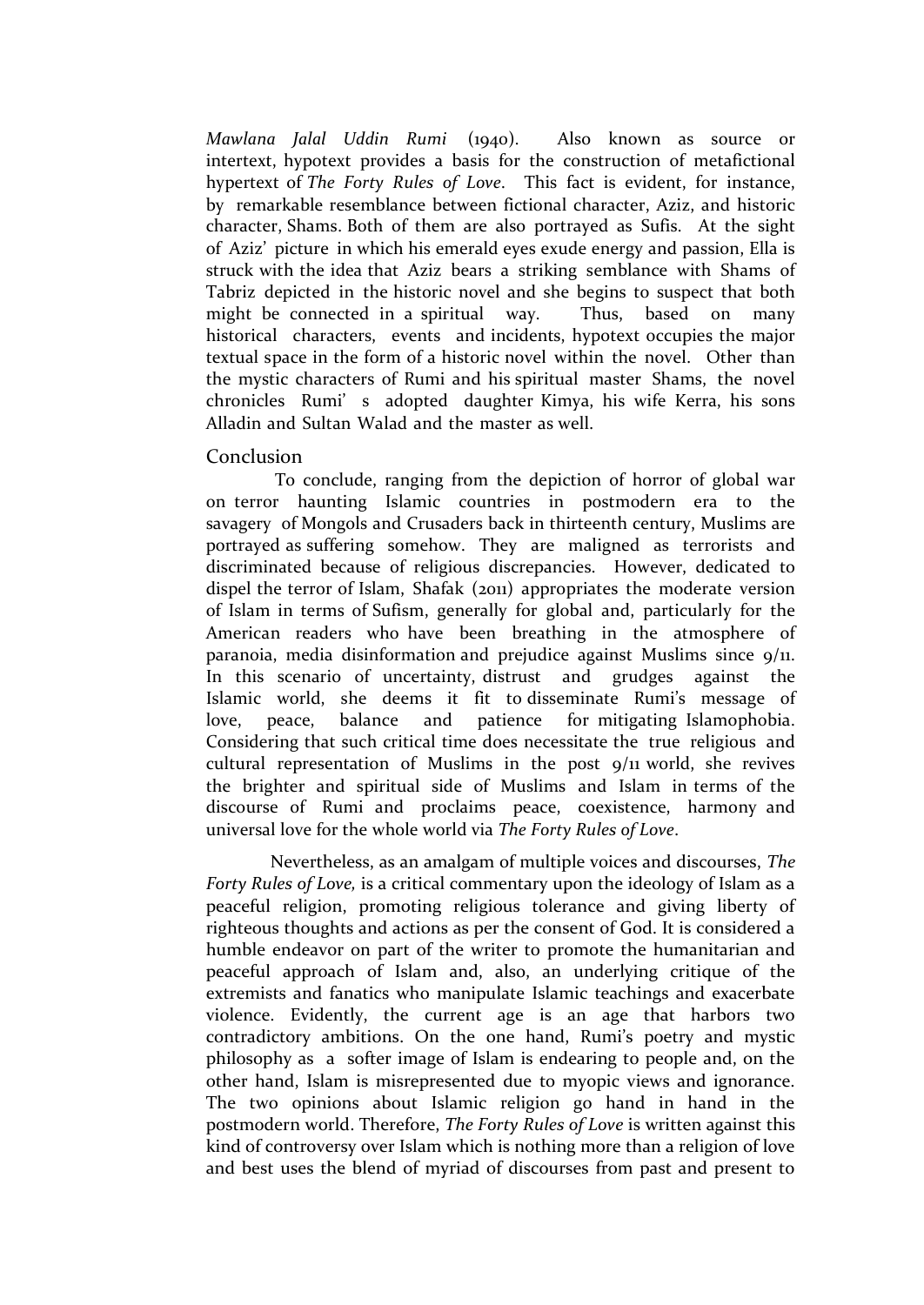*Mawlana Jalal Uddin Rumi* (1940). Also known as source or intertext, hypotext provides a basis for the construction of metafictional hypertext of *The Forty Rules of Love*. This fact is evident, for instance, by remarkable resemblance between fictional character, Aziz, and historic character, Shams. Both of them are also portrayed as Sufis. At the sight of Aziz' picture in which his emerald eyes exude energy and passion, Ella is struck with the idea that Aziz bears a striking semblance with Shams of Tabriz depicted in the historic novel and she begins to suspect that both might be connected in a spiritual way. Thus, based on many historical characters, events and incidents, hypotext occupies the major textual space in the form of a historic novel within the novel. Other than the mystic characters of Rumi and his spiritual master Shams, the novel chronicles Rumi' s adopted daughter Kimya, his wife Kerra, his sons Alladin and Sultan Walad and the master as well.

### Conclusion

To conclude, ranging from the depiction of horror of global war on terror haunting Islamic countries in postmodern era to the savagery of Mongols and Crusaders back in thirteenth century, Muslims are portrayed as suffering somehow. They are maligned as terrorists and discriminated because of religious discrepancies. However, dedicated to dispel the terror of Islam, Shafak (2011) appropriates the moderate version of Islam in terms of Sufism, generally for global and, particularly for the American readers who have been breathing in the atmosphere of paranoia, media disinformation and prejudice against Muslims since 9/11. In this scenario of uncertainty, distrust and grudges against the Islamic world, she deems it fit to disseminate Rumi's message of love, peace, balance and patience for mitigating Islamophobia. Considering that such critical time does necessitate the true religious and cultural representation of Muslims in the post 9/11 world, she revives the brighter and spiritual side of Muslims and Islam in terms of the discourse of Rumi and proclaims peace, coexistence, harmony and universal love for the whole world via *The Forty Rules of Love*.

Nevertheless, as an amalgam of multiple voices and discourses, *The Forty Rules of Love,* is a critical commentary upon the ideology of Islam as a peaceful religion, promoting religious tolerance and giving liberty of righteous thoughts and actions as per the consent of God. It is considered a humble endeavor on part of the writer to promote the humanitarian and peaceful approach of Islam and, also, an underlying critique of the extremists and fanatics who manipulate Islamic teachings and exacerbate violence. Evidently, the current age is an age that harbors two contradictory ambitions. On the one hand, Rumi's poetry and mystic philosophy as a softer image of Islam is endearing to people and, on the other hand, Islam is misrepresented due to myopic views and ignorance. The two opinions about Islamic religion go hand in hand in the postmodern world. Therefore, *The Forty Rules of Love* is written against this kind of controversy over Islam which is nothing more than a religion of love and best uses the blend of myriad of discourses from past and present to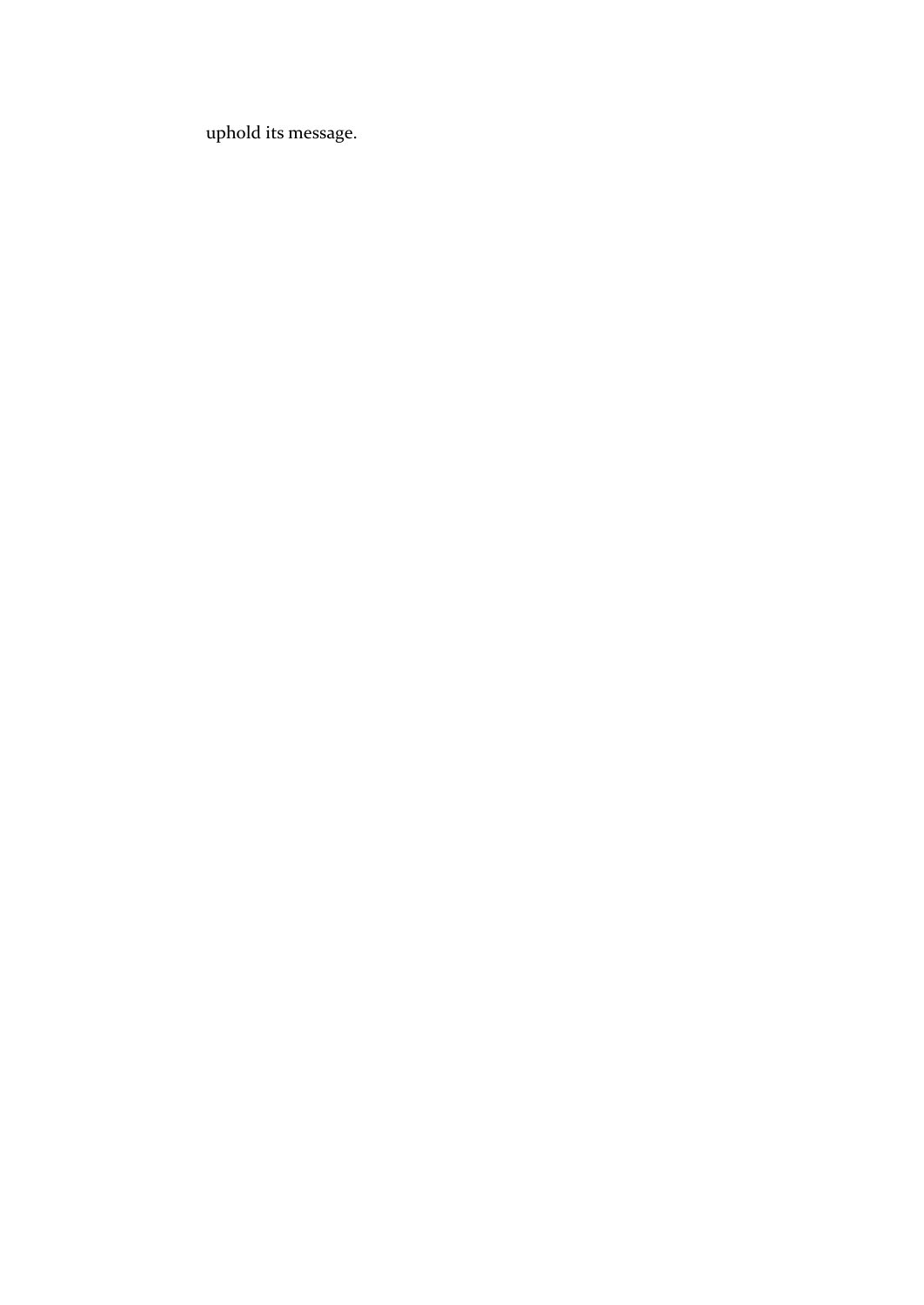uphold its message.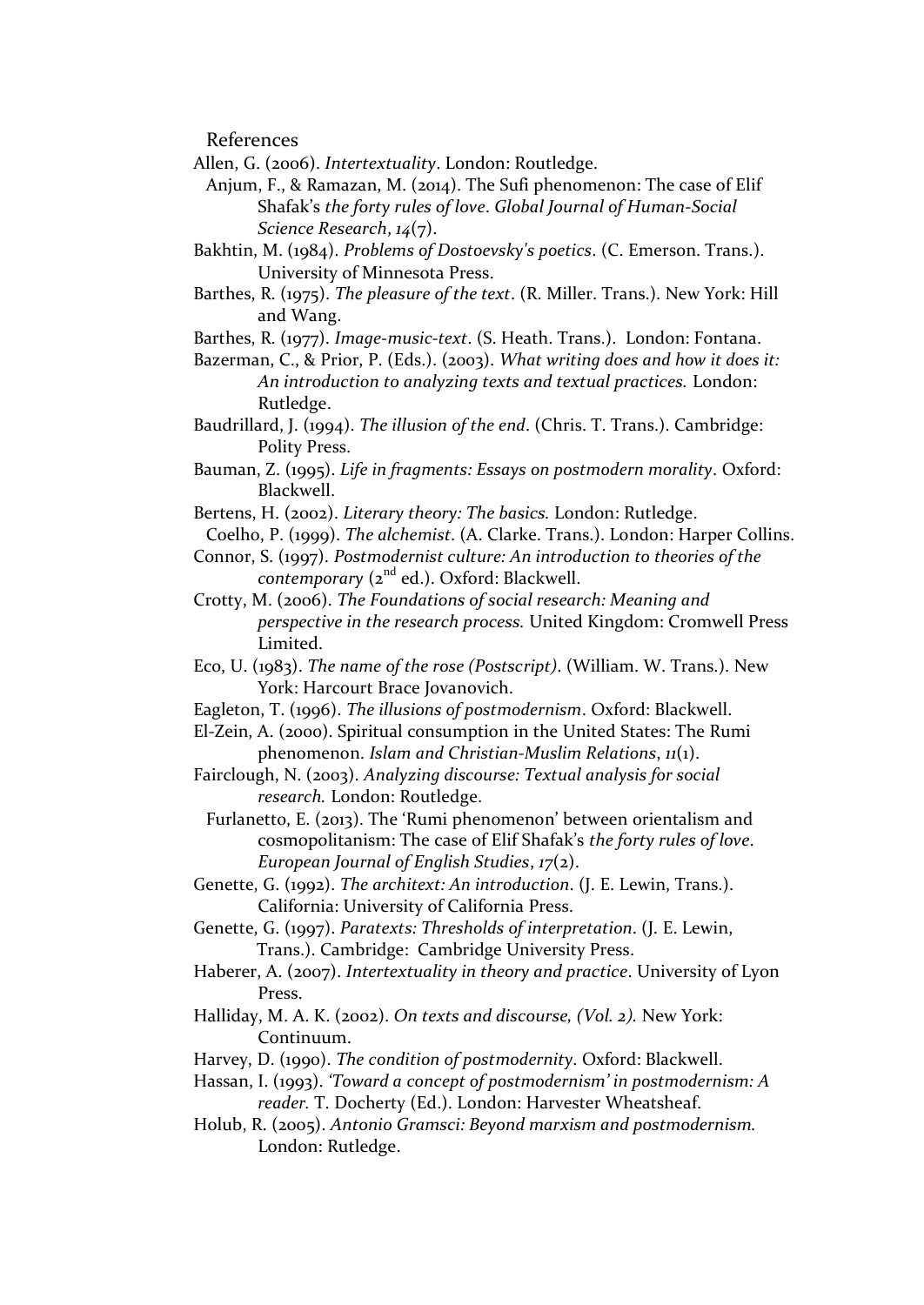References

- Allen, G. (2006). *Intertextuality*. London: Routledge.
	- Anjum, F., & Ramazan, M. (2014). The Sufi phenomenon: The case of Elif Shafak's *the forty rules of love*. *Global Journal of Human-Social Science Research*, *14*(7).
- Bakhtin, M. (1984). *Problems of Dostoevsky's poetics*. (C. Emerson. Trans.). University of Minnesota Press.
- Barthes, R. (1975). *The pleasure of the text*. (R. Miller. Trans.). New York: Hill and Wang.
- Barthes, R. (1977). *Image-music-text*. (S. Heath. Trans.). London: Fontana.
- Bazerman, C., & Prior, P. (Eds.). (2003). *What writing does and how it does it: An introduction to analyzing texts and textual practices.* London: Rutledge.
- Baudrillard, J. (1994). *The illusion of the end*. (Chris. T. Trans.). Cambridge: Polity Press.
- Bauman, Z. (1995). *Life in fragments: Essays on postmodern morality*. Oxford: Blackwell.
- Bertens, H. (2002). *Literary theory: The basics.* London: Rutledge.
- Coelho, P. (1999). *The alchemist*. (A. Clarke. Trans.). London: Harper Collins.
- Connor, S. (1997). *Postmodernist culture: An introduction to theories of the contemporary* (2<sup>nd</sup> ed.). Oxford: Blackwell.
- Crotty, M. (2006). *The Foundations of social research: Meaning and perspective in the research process.* United Kingdom: Cromwell Press Limited.
- Eco, U. (1983). *The name of the rose (Postscript)*. (William. W. Trans.). New York: Harcourt Brace Jovanovich.
- Eagleton, T. (1996). *The illusions of postmodernism*. Oxford: Blackwell.
- El-Zein, A. (2000). Spiritual consumption in the United States: The Rumi phenomenon. *Islam and Christian-Muslim Relations*, *11*(1).
- Fairclough, N. (2003). *Analyzing discourse: Textual analysis for social research.* London: Routledge.
	- Furlanetto, E. (2013). The 'Rumi phenomenon' between orientalism and cosmopolitanism: The case of Elif Shafak's *the forty rules of love*. *European Journal of English Studies*, *17*(2).
- Genette, G. (1992). *The architext: An introduction*. (J. E. Lewin, Trans.). California: University of California Press.
- Genette, G. (1997). *Paratexts: Thresholds of interpretation*. (J. E. Lewin, Trans.). Cambridge: Cambridge University Press.
- Haberer, A. (2007). *Intertextuality in theory and practice*. University of Lyon Press.
- Halliday, M. A. K. (2002). *On texts and discourse, (Vol. 2).* New York: Continuum.
- Harvey, D. (1990). *The condition of postmodernity*. Oxford: Blackwell.
- Hassan, I. (1993). *'Toward a concept of postmodernism' in postmodernism: A reader.* T. Docherty (Ed.). London: Harvester Wheatsheaf.
- Holub, R. (2005). *Antonio Gramsci: Beyond marxism and postmodernism.* London: Rutledge.